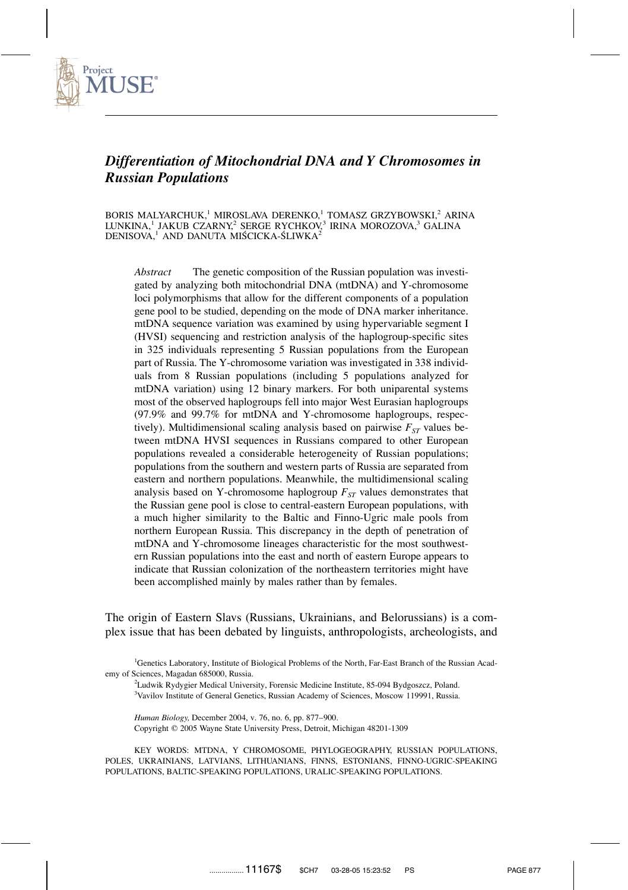

# *Differentiation of Mitochondrial DNA and Y Chromosomes in Russian Populations*

BORIS MALYARCHUK,<sup>1</sup> MIROSLAVA DERENKO,<sup>1</sup> TOMASZ GRZYBOWSKI,<sup>2</sup> ARINA LUNKINA,<sup>1</sup> JAKUB CZARNY,<sup>2</sup> SERGE RYCHKOV,<sup>3</sup> IRINA MOROZOVA,<sup>3</sup> GALINA DENISOVA,<sup>1</sup> AND DANUTA MIŚCICKA-ŚLIWKA<sup>2</sup>

*Abstract* The genetic composition of the Russian population was investigated by analyzing both mitochondrial DNA (mtDNA) and Y-chromosome loci polymorphisms that allow for the different components of a population gene pool to be studied, depending on the mode of DNA marker inheritance. mtDNA sequence variation was examined by using hypervariable segment I (HVSI) sequencing and restriction analysis of the haplogroup-specific sites in 325 individuals representing 5 Russian populations from the European part of Russia. The Y-chromosome variation was investigated in 338 individuals from 8 Russian populations (including 5 populations analyzed for mtDNA variation) using 12 binary markers. For both uniparental systems most of the observed haplogroups fell into major West Eurasian haplogroups (97.9% and 99.7% for mtDNA and Y-chromosome haplogroups, respectively). Multidimensional scaling analysis based on pairwise  $F_{ST}$  values between mtDNA HVSI sequences in Russians compared to other European populations revealed a considerable heterogeneity of Russian populations; populations from the southern and western parts of Russia are separated from eastern and northern populations. Meanwhile, the multidimensional scaling analysis based on Y-chromosome haplogroup  $F_{ST}$  values demonstrates that the Russian gene pool is close to central-eastern European populations, with a much higher similarity to the Baltic and Finno-Ugric male pools from northern European Russia. This discrepancy in the depth of penetration of mtDNA and Y-chromosome lineages characteristic for the most southwestern Russian populations into the east and north of eastern Europe appears to indicate that Russian colonization of the northeastern territories might have been accomplished mainly by males rather than by females.

The origin of Eastern Slavs (Russians, Ukrainians, and Belorussians) is a complex issue that has been debated by linguists, anthropologists, archeologists, and

<sup>1</sup>Genetics Laboratory, Institute of Biological Problems of the North, Far-East Branch of the Russian Academy of Sciences, Magadan 685000, Russia.

2 Ludwik Rydygier Medical University, Forensic Medicine Institute, 85-094 Bydgoszcz, Poland. <sup>3</sup>Vavilov Institute of General Genetics, Russian Academy of Sciences, Moscow 119991, Russia.

*Human Biology,* December 2004, v. 76, no. 6, pp. 877–900. Copyright 2005 Wayne State University Press, Detroit, Michigan 48201-1309

KEY WORDS: MTDNA, Y CHROMOSOME, PHYLOGEOGRAPHY, RUSSIAN POPULATIONS, POLES, UKRAINIANS, LATVIANS, LITHUANIANS, FINNS, ESTONIANS, FINNO-UGRIC-SPEAKING POPULATIONS, BALTIC-SPEAKING POPULATIONS, URALIC-SPEAKING POPULATIONS.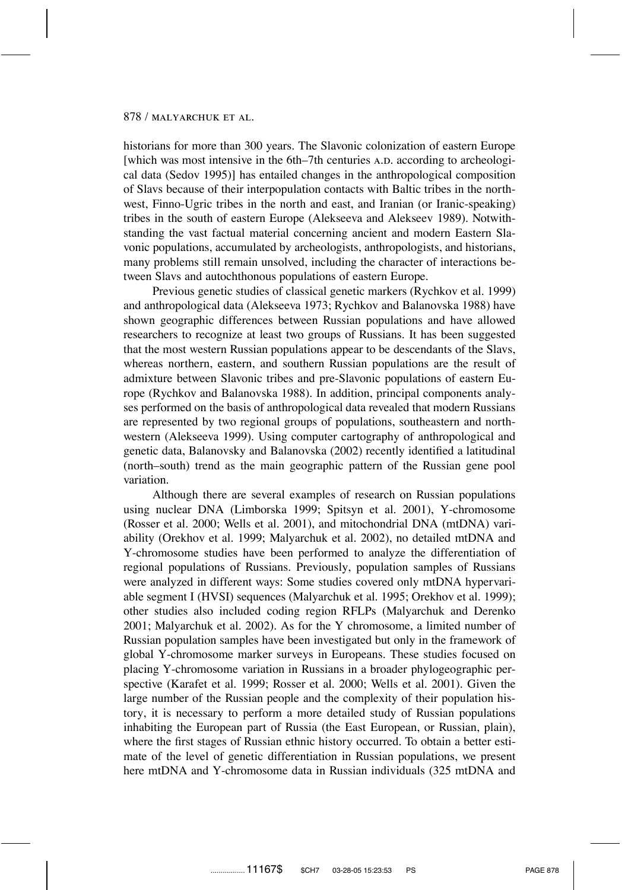historians for more than 300 years. The Slavonic colonization of eastern Europe [which was most intensive in the 6th–7th centuries A.D. according to archeological data (Sedov 1995)] has entailed changes in the anthropological composition of Slavs because of their interpopulation contacts with Baltic tribes in the northwest, Finno-Ugric tribes in the north and east, and Iranian (or Iranic-speaking) tribes in the south of eastern Europe (Alekseeva and Alekseev 1989). Notwithstanding the vast factual material concerning ancient and modern Eastern Slavonic populations, accumulated by archeologists, anthropologists, and historians, many problems still remain unsolved, including the character of interactions between Slavs and autochthonous populations of eastern Europe.

Previous genetic studies of classical genetic markers (Rychkov et al. 1999) and anthropological data (Alekseeva 1973; Rychkov and Balanovska 1988) have shown geographic differences between Russian populations and have allowed researchers to recognize at least two groups of Russians. It has been suggested that the most western Russian populations appear to be descendants of the Slavs, whereas northern, eastern, and southern Russian populations are the result of admixture between Slavonic tribes and pre-Slavonic populations of eastern Europe (Rychkov and Balanovska 1988). In addition, principal components analyses performed on the basis of anthropological data revealed that modern Russians are represented by two regional groups of populations, southeastern and northwestern (Alekseeva 1999). Using computer cartography of anthropological and genetic data, Balanovsky and Balanovska (2002) recently identified a latitudinal (north–south) trend as the main geographic pattern of the Russian gene pool variation.

Although there are several examples of research on Russian populations using nuclear DNA (Limborska 1999; Spitsyn et al. 2001), Y-chromosome (Rosser et al. 2000; Wells et al. 2001), and mitochondrial DNA (mtDNA) variability (Orekhov et al. 1999; Malyarchuk et al. 2002), no detailed mtDNA and Y-chromosome studies have been performed to analyze the differentiation of regional populations of Russians. Previously, population samples of Russians were analyzed in different ways: Some studies covered only mtDNA hypervariable segment I (HVSI) sequences (Malyarchuk et al. 1995; Orekhov et al. 1999); other studies also included coding region RFLPs (Malyarchuk and Derenko 2001; Malyarchuk et al. 2002). As for the Y chromosome, a limited number of Russian population samples have been investigated but only in the framework of global Y-chromosome marker surveys in Europeans. These studies focused on placing Y-chromosome variation in Russians in a broader phylogeographic perspective (Karafet et al. 1999; Rosser et al. 2000; Wells et al. 2001). Given the large number of the Russian people and the complexity of their population history, it is necessary to perform a more detailed study of Russian populations inhabiting the European part of Russia (the East European, or Russian, plain), where the first stages of Russian ethnic history occurred. To obtain a better estimate of the level of genetic differentiation in Russian populations, we present here mtDNA and Y-chromosome data in Russian individuals (325 mtDNA and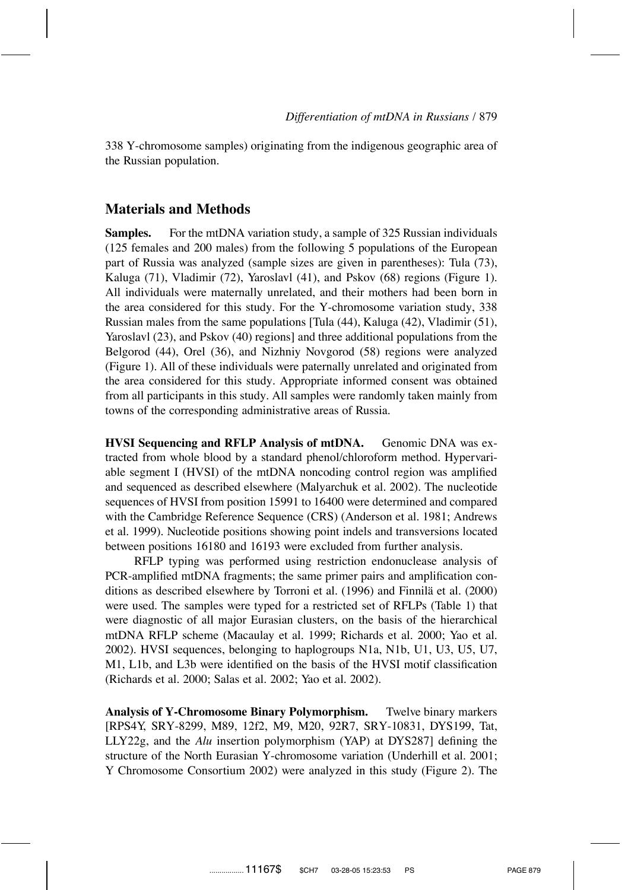338 Y-chromosome samples) originating from the indigenous geographic area of the Russian population.

### **Materials and Methods**

**Samples.** For the mtDNA variation study, a sample of 325 Russian individuals (125 females and 200 males) from the following 5 populations of the European part of Russia was analyzed (sample sizes are given in parentheses): Tula (73), Kaluga (71), Vladimir (72), Yaroslavl (41), and Pskov (68) regions (Figure 1). All individuals were maternally unrelated, and their mothers had been born in the area considered for this study. For the Y-chromosome variation study, 338 Russian males from the same populations [Tula (44), Kaluga (42), Vladimir (51), Yaroslavl (23), and Pskov (40) regions] and three additional populations from the Belgorod (44), Orel (36), and Nizhniy Novgorod (58) regions were analyzed (Figure 1). All of these individuals were paternally unrelated and originated from the area considered for this study. Appropriate informed consent was obtained from all participants in this study. All samples were randomly taken mainly from towns of the corresponding administrative areas of Russia.

**HVSI Sequencing and RFLP Analysis of mtDNA.** Genomic DNA was extracted from whole blood by a standard phenol/chloroform method. Hypervariable segment I (HVSI) of the mtDNA noncoding control region was amplified and sequenced as described elsewhere (Malyarchuk et al. 2002). The nucleotide sequences of HVSI from position 15991 to 16400 were determined and compared with the Cambridge Reference Sequence (CRS) (Anderson et al. 1981; Andrews et al. 1999). Nucleotide positions showing point indels and transversions located between positions 16180 and 16193 were excluded from further analysis.

RFLP typing was performed using restriction endonuclease analysis of PCR-amplified mtDNA fragments; the same primer pairs and amplification conditions as described elsewhere by Torroni et al. (1996) and Finnilä et al. (2000) were used. The samples were typed for a restricted set of RFLPs (Table 1) that were diagnostic of all major Eurasian clusters, on the basis of the hierarchical mtDNA RFLP scheme (Macaulay et al. 1999; Richards et al. 2000; Yao et al. 2002). HVSI sequences, belonging to haplogroups N1a, N1b, U1, U3, U5, U7, M1, L1b, and L3b were identified on the basis of the HVSI motif classification (Richards et al. 2000; Salas et al. 2002; Yao et al. 2002).

**Analysis of Y-Chromosome Binary Polymorphism.** Twelve binary markers [RPS4Y, SRY-8299, M89, 12f2, M9, M20, 92R7, SRY-10831, DYS199, Tat, LLY22g, and the *Alu* insertion polymorphism (YAP) at DYS287] defining the structure of the North Eurasian Y-chromosome variation (Underhill et al. 2001; Y Chromosome Consortium 2002) were analyzed in this study (Figure 2). The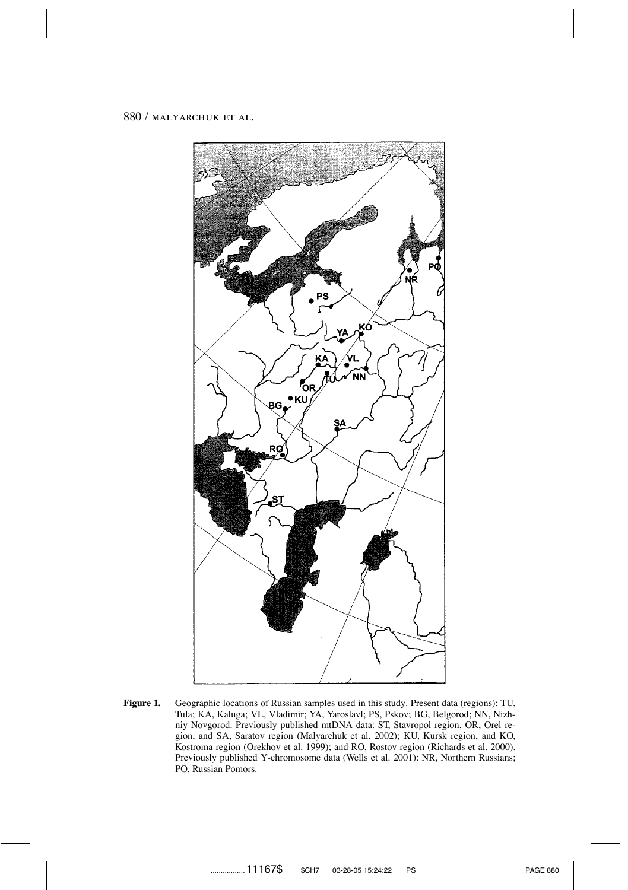

Figure 1. Geographic locations of Russian samples used in this study. Present data (regions): TU, Tula; KA, Kaluga; VL, Vladimir; YA, Yaroslavl; PS, Pskov; BG, Belgorod; NN, Nizhniy Novgorod. Previously published mtDNA data: ST, Stavropol region, OR, Orel region, and SA, Saratov region (Malyarchuk et al. 2002); KU, Kursk region, and KO, Kostroma region (Orekhov et al. 1999); and RO, Rostov region (Richards et al. 2000). Previously published Y-chromosome data (Wells et al. 2001): NR, Northern Russians; PO, Russian Pomors.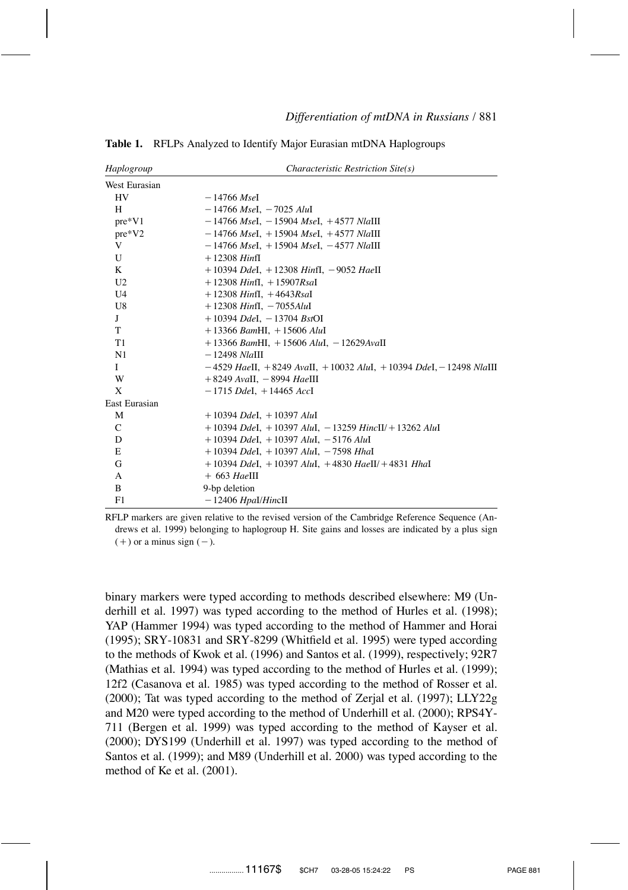| Haplogroup     | Characteristic Restriction Site(s)                                          |
|----------------|-----------------------------------------------------------------------------|
| West Eurasian  |                                                                             |
| HV             | — 14766 MseI                                                                |
| H              | $-14766$ MseI, $-7025$ AluI                                                 |
| $pre*V1$       | $-14766$ MseI, $-15904$ MseI, $+4577$ NlaIII                                |
| $pre*V2$       | $-14766$ MseI, $+15904$ MseI, $+4577$ NlaIII                                |
| V              | $-14766$ MseI, $+15904$ MseI, $-4577$ NlaIII                                |
| U              | $+12308$ HinfI                                                              |
| K              | $+10394$ DdeI, $+12308$ HinfI, $-9052$ HaeII                                |
| U <sub>2</sub> | $+12308$ Hinfl, $+15907$ Rsal                                               |
| U <sub>4</sub> | $+12308$ Hinfl, $+4643$ Rsal                                                |
| U8             | $+12308$ HinfI, $-7055$ AluI                                                |
| J              | $+10394$ DdeI, $-13704$ BstOI                                               |
| T              | $+13366$ BamHI, $+15606$ AluI                                               |
| T <sub>1</sub> | $+13366$ BamHI, $+15606$ AluI, $-12629$ AvaII                               |
| N1             | $-12498$ <i>Nla</i> III                                                     |
| L              | $-4529$ HaeII, $+8249$ AvaII, $+10032$ AluI, $+10394$ DdeI, $-12498$ NlaIII |
| W              | $+8249$ AvaII, $-8994$ HaeIII                                               |
| X              | $-1715$ DdeI, $+14465$ AccI                                                 |
| East Eurasian  |                                                                             |
| M              | $+10394$ DdeI, $+10397$ AluI                                                |
| $\mathcal{C}$  | $+10394$ Ddel, $+10397$ AluI, $-13259$ HincII/ $+13262$ AluI                |
| D              | $+10394$ DdeI, $+10397$ AluI, $-5176$ AluI                                  |
| Е              | $+10394$ DdeI, $+10397$ AluI, $-7598$ HhaI                                  |
| G              | $+10394$ DdeI, $+10397$ AluI, $+4830$ HaeII/ $+4831$ HhaI                   |
| А              | $+663$ HaeIII                                                               |
| B              | 9-bp deletion                                                               |
| F1             | $-12406$ Hpal/HincII                                                        |

**Table 1.** RFLPs Analyzed to Identify Major Eurasian mtDNA Haplogroups

RFLP markers are given relative to the revised version of the Cambridge Reference Sequence (Andrews et al. 1999) belonging to haplogroup H. Site gains and losses are indicated by a plus sign  $(+)$  or a minus sign  $(-)$ .

binary markers were typed according to methods described elsewhere: M9 (Underhill et al. 1997) was typed according to the method of Hurles et al. (1998); YAP (Hammer 1994) was typed according to the method of Hammer and Horai (1995); SRY-10831 and SRY-8299 (Whitfield et al. 1995) were typed according to the methods of Kwok et al. (1996) and Santos et al. (1999), respectively; 92R7 (Mathias et al. 1994) was typed according to the method of Hurles et al. (1999); 12f2 (Casanova et al. 1985) was typed according to the method of Rosser et al. (2000); Tat was typed according to the method of Zerjal et al. (1997); LLY22g and M20 were typed according to the method of Underhill et al. (2000); RPS4Y-711 (Bergen et al. 1999) was typed according to the method of Kayser et al. (2000); DYS199 (Underhill et al. 1997) was typed according to the method of Santos et al. (1999); and M89 (Underhill et al. 2000) was typed according to the method of Ke et al. (2001).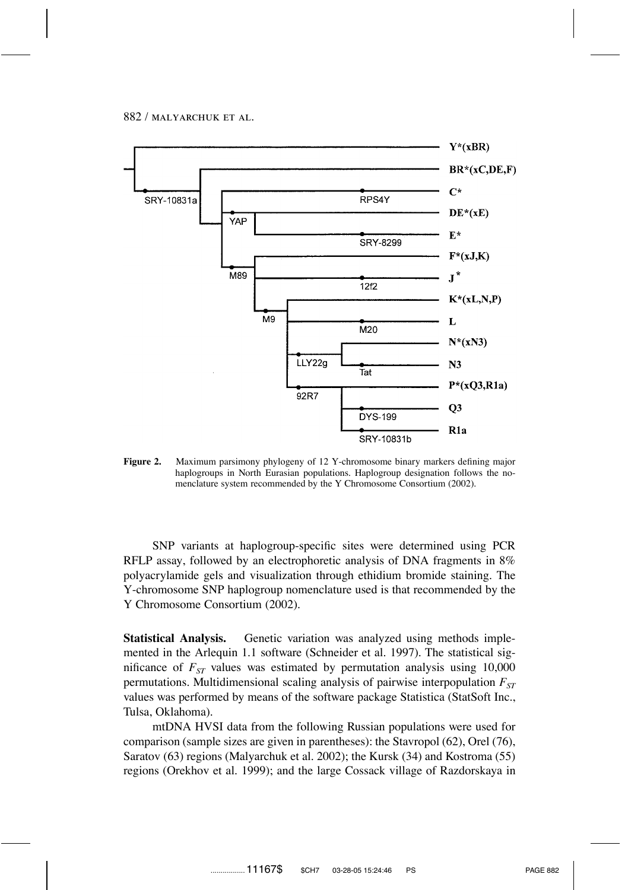

**Figure 2.** Maximum parsimony phylogeny of 12 Y-chromosome binary markers defining major haplogroups in North Eurasian populations. Haplogroup designation follows the nomenclature system recommended by the Y Chromosome Consortium (2002).

SNP variants at haplogroup-specific sites were determined using PCR RFLP assay, followed by an electrophoretic analysis of DNA fragments in 8% polyacrylamide gels and visualization through ethidium bromide staining. The Y-chromosome SNP haplogroup nomenclature used is that recommended by the Y Chromosome Consortium (2002).

**Statistical Analysis.** Genetic variation was analyzed using methods implemented in the Arlequin 1.1 software (Schneider et al. 1997). The statistical significance of  $F_{ST}$  values was estimated by permutation analysis using 10,000 permutations. Multidimensional scaling analysis of pairwise interpopulation  $F_{ST}$ values was performed by means of the software package Statistica (StatSoft Inc., Tulsa, Oklahoma).

mtDNA HVSI data from the following Russian populations were used for comparison (sample sizes are given in parentheses): the Stavropol (62), Orel (76), Saratov (63) regions (Malyarchuk et al. 2002); the Kursk (34) and Kostroma (55) regions (Orekhov et al. 1999); and the large Cossack village of Razdorskaya in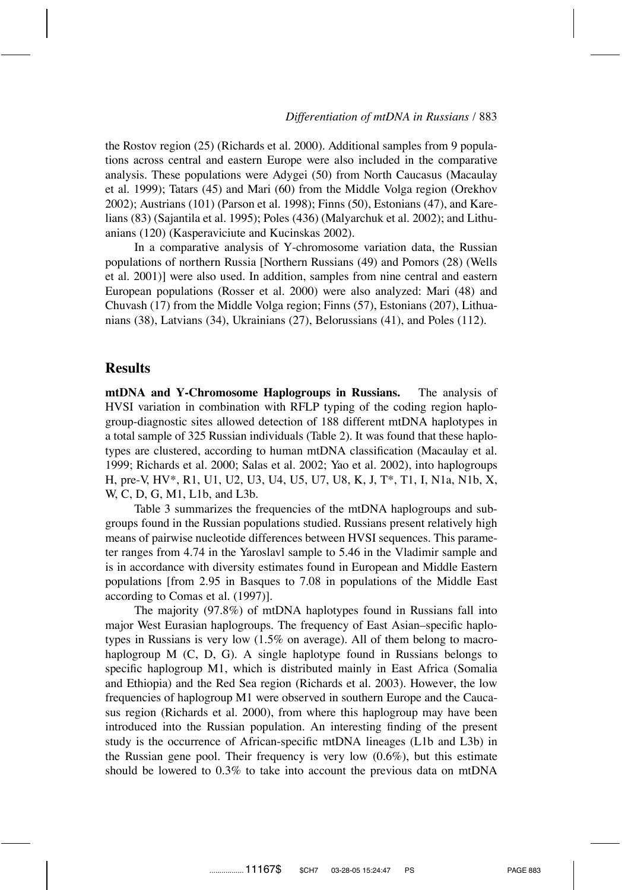the Rostov region (25) (Richards et al. 2000). Additional samples from 9 populations across central and eastern Europe were also included in the comparative analysis. These populations were Adygei (50) from North Caucasus (Macaulay et al. 1999); Tatars (45) and Mari (60) from the Middle Volga region (Orekhov 2002); Austrians (101) (Parson et al. 1998); Finns (50), Estonians (47), and Karelians (83) (Sajantila et al. 1995); Poles (436) (Malyarchuk et al. 2002); and Lithuanians (120) (Kasperaviciute and Kucinskas 2002).

In a comparative analysis of Y-chromosome variation data, the Russian populations of northern Russia [Northern Russians (49) and Pomors (28) (Wells et al. 2001)] were also used. In addition, samples from nine central and eastern European populations (Rosser et al. 2000) were also analyzed: Mari (48) and Chuvash (17) from the Middle Volga region; Finns (57), Estonians (207), Lithuanians (38), Latvians (34), Ukrainians (27), Belorussians (41), and Poles (112).

### **Results**

**mtDNA and Y-Chromosome Haplogroups in Russians.** The analysis of HVSI variation in combination with RFLP typing of the coding region haplogroup-diagnostic sites allowed detection of 188 different mtDNA haplotypes in a total sample of 325 Russian individuals (Table 2). It was found that these haplotypes are clustered, according to human mtDNA classification (Macaulay et al. 1999; Richards et al. 2000; Salas et al. 2002; Yao et al. 2002), into haplogroups H, pre-V, HV\*, R1, U1, U2, U3, U4, U5, U7, U8, K, J, T\*, T1, I, N1a, N1b, X, W, C, D, G, M1, L1b, and L3b.

Table 3 summarizes the frequencies of the mtDNA haplogroups and subgroups found in the Russian populations studied. Russians present relatively high means of pairwise nucleotide differences between HVSI sequences. This parameter ranges from 4.74 in the Yaroslavl sample to 5.46 in the Vladimir sample and is in accordance with diversity estimates found in European and Middle Eastern populations [from 2.95 in Basques to 7.08 in populations of the Middle East according to Comas et al. (1997)].

The majority (97.8%) of mtDNA haplotypes found in Russians fall into major West Eurasian haplogroups. The frequency of East Asian–specific haplotypes in Russians is very low (1.5% on average). All of them belong to macrohaplogroup M (C, D, G). A single haplotype found in Russians belongs to specific haplogroup M1, which is distributed mainly in East Africa (Somalia and Ethiopia) and the Red Sea region (Richards et al. 2003). However, the low frequencies of haplogroup M1 were observed in southern Europe and the Caucasus region (Richards et al. 2000), from where this haplogroup may have been introduced into the Russian population. An interesting finding of the present study is the occurrence of African-specific mtDNA lineages (L1b and L3b) in the Russian gene pool. Their frequency is very low  $(0.6\%)$ , but this estimate should be lowered to 0.3% to take into account the previous data on mtDNA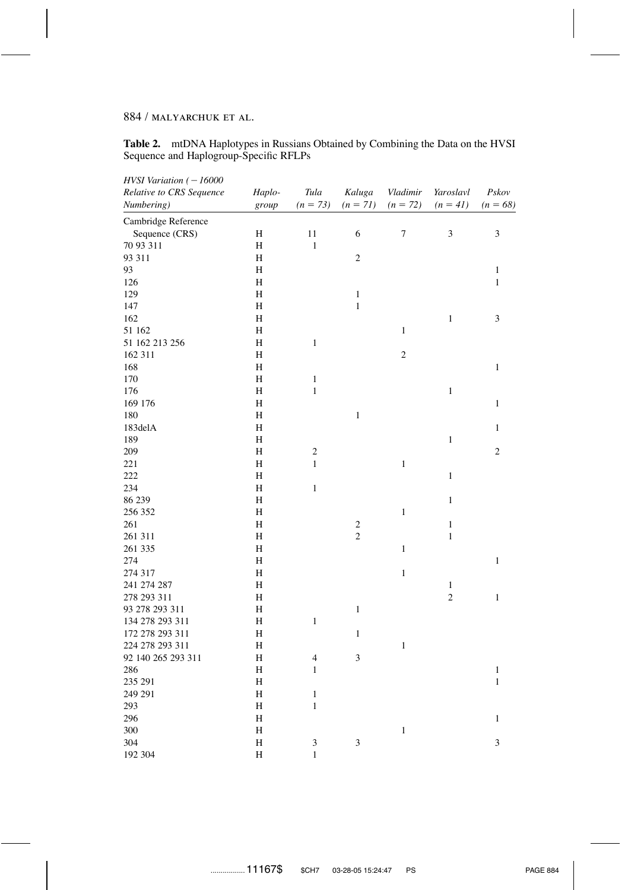**Table 2.** mtDNA Haplotypes in Russians Obtained by Combining the Data on the HVSI Sequence and Haplogroup-Specific RFLPs

| $HVSI$ Variation ( $-16000$<br>Relative to CRS Sequence | Haplo-  | Tula                     | Kaluga           | Vladimir     | Yaroslavl      | Pskov          |
|---------------------------------------------------------|---------|--------------------------|------------------|--------------|----------------|----------------|
| Numbering)                                              | group   | $(n = 73)$               | $(n = 71)$       | $(n = 72)$   | $(n = 41)$     | $(n = 68)$     |
| Cambridge Reference                                     |         |                          |                  |              |                |                |
| Sequence (CRS)                                          | H       | 11                       | 6                | $\tau$       | $\mathfrak{Z}$ | $\mathfrak{Z}$ |
| 70 93 311                                               | H       | 1                        |                  |              |                |                |
| 93 311                                                  | H       |                          | $\overline{c}$   |              |                |                |
| 93                                                      | H       |                          |                  |              |                | $\mathbf{1}$   |
| 126                                                     | H       |                          |                  |              |                | $\mathbf{1}$   |
| 129                                                     | H       |                          | $\,1$            |              |                |                |
| 147                                                     | H       |                          | $\mathbf{1}$     |              |                |                |
| 162                                                     | H       |                          |                  |              | $\,1\,$        | $\mathfrak{Z}$ |
| 51 162                                                  | Н       |                          |                  | $\mathbf{1}$ |                |                |
| 51 162 213 256                                          | H       | $\mathbf{1}$             |                  |              |                |                |
| 162 311                                                 | H       |                          |                  | $\sqrt{2}$   |                |                |
| 168                                                     | H       |                          |                  |              |                | $\mathbf{1}$   |
| 170                                                     | H       | $\,1\,$                  |                  |              |                |                |
| 176                                                     | H       | $\mathbf{1}$             |                  |              | $\mathbf{1}$   |                |
| 169 176                                                 | H       |                          |                  |              |                | $\mathbf{1}$   |
| 180                                                     | H       |                          | $\,1$            |              |                |                |
| 183delA                                                 | $\rm H$ |                          |                  |              |                | $\mathbf{1}$   |
| 189                                                     | H       |                          |                  |              | $1\,$          |                |
| 209                                                     | H       | $\overline{c}$           |                  |              |                | $\overline{c}$ |
| 221                                                     | H       | $\mathbf{1}$             |                  | $\,1\,$      |                |                |
| 222                                                     | H       |                          |                  |              | $\,1\,$        |                |
| 234                                                     | H       | $\mathbf{1}$             |                  |              |                |                |
| 86 239                                                  | H       |                          |                  |              | $\,1\,$        |                |
| 256 352                                                 | H       |                          |                  | $\mathbf{1}$ |                |                |
| 261                                                     | H       |                          | $\boldsymbol{2}$ |              | $\mathbf{1}$   |                |
| 261 311                                                 | $\rm H$ |                          | $\overline{c}$   |              | $\mathbf{1}$   |                |
| 261 335                                                 | H       |                          |                  | $\mathbf{1}$ |                |                |
| 274                                                     | H       |                          |                  |              |                | $\mathbf{1}$   |
| 274 317                                                 | H       |                          |                  | $\mathbf{1}$ |                |                |
| 241 274 287                                             | H       |                          |                  |              | $\mathbf{1}$   |                |
| 278 293 311                                             | H       |                          |                  |              | $\overline{c}$ | $\mathbf{1}$   |
| 93 278 293 311                                          | H       |                          | $\mathbf{1}$     |              |                |                |
| 134 278 293 311                                         | H       | $\mathbf{1}$             |                  |              |                |                |
| 172 278 293 311                                         | H       |                          | $\mathbf{1}$     |              |                |                |
| 224 278 293 311                                         | H       |                          |                  | $\,1$        |                |                |
| 92 140 265 293 311                                      | H       | $\overline{\mathcal{A}}$ | $\mathfrak{Z}$   |              |                |                |
| 286                                                     | H       | $\mathbf{1}$             |                  |              |                | $\mathbf{1}$   |
| 235 291                                                 | Η       |                          |                  |              |                | $\mathbf{1}$   |
| 249 291                                                 | H       | $\mathbf{1}$             |                  |              |                |                |
| 293                                                     | H       | $\,$ 1 $\,$              |                  |              |                |                |
| 296                                                     | H       |                          |                  |              |                | $\mathbf{1}$   |
| 300                                                     | H       |                          |                  | $\,1\,$      |                |                |
| 304                                                     | H       | 3                        | 3                |              |                | 3              |
| 192 304                                                 | H       | 1                        |                  |              |                |                |
|                                                         |         |                          |                  |              |                |                |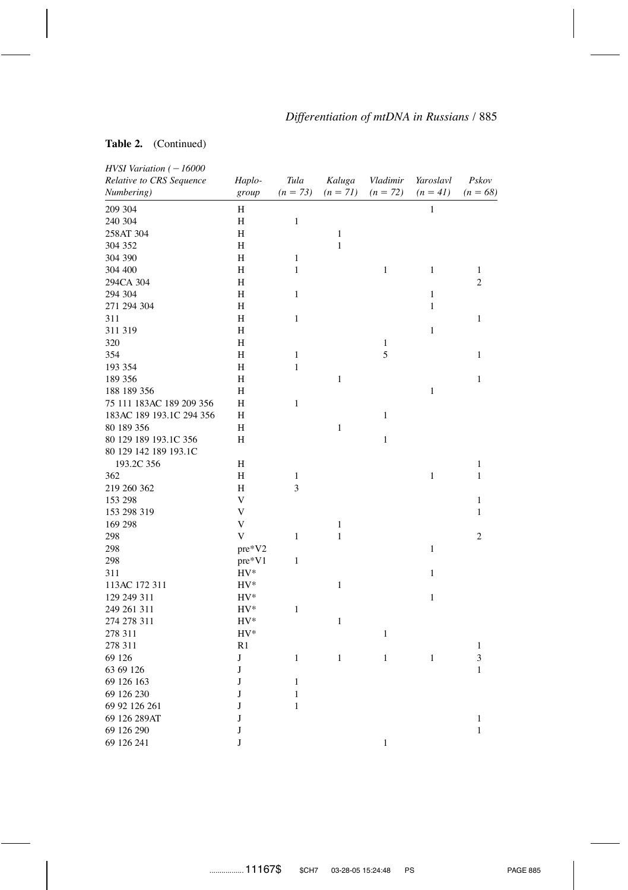## **Table 2.** (Continued)

| $HVSI$ Variation ( $-16000$ |                |              |              |              |              |                |
|-----------------------------|----------------|--------------|--------------|--------------|--------------|----------------|
| Relative to CRS Sequence    | Haplo-         | Tula         | Kaluga       | Vladimir     | Yaroslavl    | Pskov          |
| Numbering)                  | group          | $(n = 73)$   | $(n = 71)$   | $(n = 72)$   | $(n = 41)$   | $(n = 68)$     |
| 209 304                     | H              |              |              |              | $\mathbf{1}$ |                |
| 240 304                     | Н              | $\,1\,$      |              |              |              |                |
| 258AT 304                   | H              |              | $\mathbf{1}$ |              |              |                |
| 304 352                     | H              |              | $\mathbf{1}$ |              |              |                |
| 304 390                     | H              | $\mathbf{1}$ |              |              |              |                |
| 304 400                     | H              | $\mathbf{1}$ |              | $\mathbf{1}$ | $\mathbf{1}$ | 1              |
| 294CA 304                   | H              |              |              |              |              | $\overline{2}$ |
| 294 304                     | H              | $\mathbf{1}$ |              |              | $\mathbf{1}$ |                |
| 271 294 304                 | H              |              |              |              | $\mathbf{1}$ |                |
| 311                         | H              | $\mathbf{1}$ |              |              |              | $\mathbf{1}$   |
| 311 319                     | H              |              |              |              | $\mathbf{1}$ |                |
| 320                         | H              |              |              | $\mathbf{1}$ |              |                |
| 354                         | H              | $\,1$        |              | 5            |              | $\mathbf{1}$   |
| 193 354                     | H              | $\mathbf{1}$ |              |              |              |                |
| 189 356                     | H              |              | $\mathbf{1}$ |              |              | $\mathbf{1}$   |
| 188 189 356                 | H              |              |              |              | $\mathbf{1}$ |                |
| 75 111 183AC 189 209 356    | H              | $\mathbf{1}$ |              |              |              |                |
| 183AC 189 193.1C 294 356    | H              |              |              | $\mathbf{1}$ |              |                |
| 80 189 356                  | Н              |              | 1            |              |              |                |
| 80 129 189 193.1C 356       | H              |              |              | $\mathbf{1}$ |              |                |
| 80 129 142 189 193.1C       |                |              |              |              |              |                |
| 193.2C 356                  | Н              |              |              |              |              | 1              |
| 362                         | H              | 1            |              |              | $\mathbf{1}$ | 1              |
| 219 260 362                 | H              | 3            |              |              |              |                |
| 153 298                     | V              |              |              |              |              | 1              |
| 153 298 319                 | V              |              |              |              |              | $\mathbf{1}$   |
|                             | V              |              | $\mathbf{1}$ |              |              |                |
| 169 298                     |                |              |              |              |              |                |
| 298                         | V              | 1            | $\mathbf{1}$ |              |              | $\mathfrak{2}$ |
| 298                         | pre*V2         |              |              |              | $\mathbf{1}$ |                |
| 298                         | pre*V1         | $\mathbf{1}$ |              |              |              |                |
| 311                         | $HV^*$         |              |              |              | $\mathbf{1}$ |                |
| 113AC 172 311               | $HV^*$         |              | $\mathbf{1}$ |              |              |                |
| 129 249 311                 | $HV^*$         |              |              |              | $\mathbf{1}$ |                |
| 249 261 311                 | $HV^*$         | $\mathbf{1}$ |              |              |              |                |
| 274 278 311                 | $HV^*$         |              | $\mathbf{1}$ |              |              |                |
| 278 311                     | $HV^*$         |              |              | $\mathbf{1}$ |              |                |
| 278 311                     | R <sub>1</sub> |              |              |              |              | 1              |
| 69 126                      | J              | $\mathbf{1}$ | $\mathbf{1}$ | $\,1$        | 1            | 3              |
| 63 69 126                   | J              |              |              |              |              | $\mathbf{1}$   |
| 69 126 163                  | J              | $\mathbf{1}$ |              |              |              |                |
| 69 126 230                  | J              | 1            |              |              |              |                |
| 69 92 126 261               | J              | $\mathbf{1}$ |              |              |              |                |
| 69 126 289AT                | J              |              |              |              |              | 1              |
| 69 126 290                  | J              |              |              |              |              | $\mathbf{1}$   |
| 69 126 241                  | J              |              |              | $\mathbf{1}$ |              |                |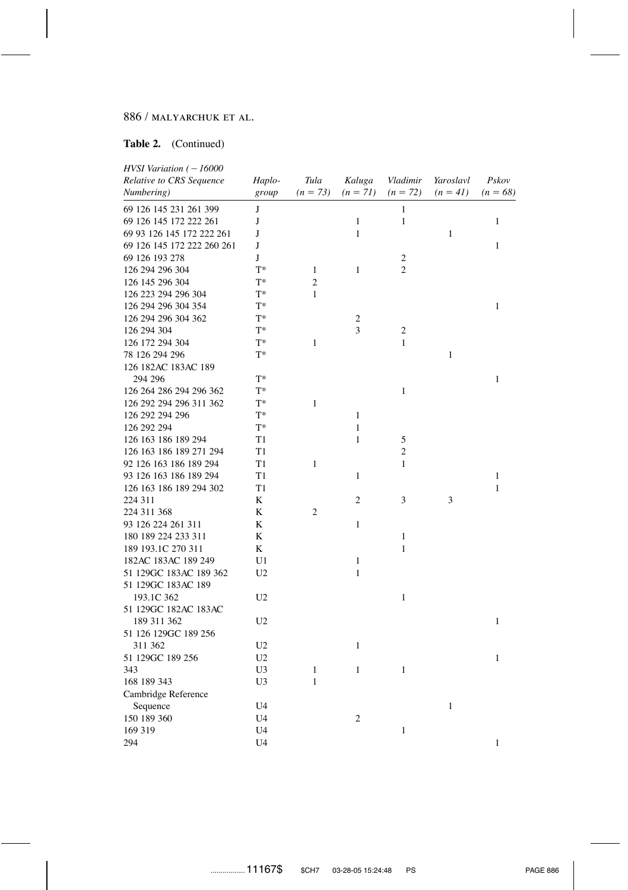### **Table 2.** (Continued)

| $HVSI$ Variation ( $-16000$ |                |                |                |                     |              |              |
|-----------------------------|----------------|----------------|----------------|---------------------|--------------|--------------|
| Relative to CRS Sequence    | Haplo-         | Tula           | Kaluga         | Vladimir            | Yaroslavl    | Pskov        |
| Numbering)                  | group          | $(n = 73)$     | $(n = 71)$     | $(n = 72)$          | $(n = 41)$   | $(n = 68)$   |
| 69 126 145 231 261 399      | J              |                |                | $\mathbf{1}$        |              |              |
| 69 126 145 172 222 261      | J              |                | $\mathbf{1}$   | $\mathbf{1}$        |              | 1            |
| 69 93 126 145 172 222 261   | J              |                | $\mathbf{1}$   |                     | $\mathbf{1}$ |              |
| 69 126 145 172 222 260 261  | J              |                |                |                     |              | $\mathbf{1}$ |
| 69 126 193 278              | J              |                |                | $\overline{c}$      |              |              |
| 126 294 296 304             | $T^*$          | 1              | 1              | $\overline{2}$      |              |              |
| 126 145 296 304             | $T^*$          | $\overline{c}$ |                |                     |              |              |
| 126 223 294 296 304         | $T^*$          | $\mathbf{1}$   |                |                     |              |              |
| 126 294 296 304 354         | $T^*$          |                |                |                     |              | $\mathbf{1}$ |
| 126 294 296 304 362         | $T^*$          |                | 2              |                     |              |              |
| 126 294 304                 | $T^*$          |                | 3              | $\overline{c}$      |              |              |
| 126 172 294 304             | $T^*$          | $\mathbf{1}$   |                | 1                   |              |              |
| 78 126 294 296              | $T^*$          |                |                |                     | $\mathbf{1}$ |              |
| 126 182AC 183AC 189         |                |                |                |                     |              |              |
| 294 296                     | $T^*$          |                |                |                     |              | 1            |
| 126 264 286 294 296 362     | $T^*$          |                |                | 1                   |              |              |
| 126 292 294 296 311 362     | $T^*$          | $\mathbf{1}$   |                |                     |              |              |
| 126 292 294 296             | $T^*$          |                | $\mathbf{1}$   |                     |              |              |
| 126 292 294                 | $T^*$          |                | 1              |                     |              |              |
| 126 163 186 189 294         | T1             |                | $\mathbf{1}$   |                     |              |              |
|                             |                |                |                | 5<br>$\mathfrak{2}$ |              |              |
| 126 163 186 189 271 294     | T1             |                |                |                     |              |              |
| 92 126 163 186 189 294      | T1             | $\mathbf{1}$   |                | 1                   |              |              |
| 93 126 163 186 189 294      | T1             |                | 1              |                     |              | $\mathbf{1}$ |
| 126 163 186 189 294 302     | T1             |                |                |                     |              | $\mathbf{1}$ |
| 224 311                     | K              |                | 2              | 3                   | 3            |              |
| 224 311 368                 | K              | $\overline{2}$ |                |                     |              |              |
| 93 126 224 261 311          | K              |                | $\mathbf{1}$   |                     |              |              |
| 180 189 224 233 311         | K              |                |                | 1                   |              |              |
| 189 193.1C 270 311          | K              |                |                | $\mathbf{1}$        |              |              |
| 182AC 183AC 189 249         | U <sub>1</sub> |                | $\mathbf{1}$   |                     |              |              |
| 51 129GC 183AC 189 362      | U <sub>2</sub> |                | $\mathbf{1}$   |                     |              |              |
| 51 129GC 183AC 189          |                |                |                |                     |              |              |
| 193.1C 362                  | U <sub>2</sub> |                |                | $\mathbf{1}$        |              |              |
| 51 129GC 182AC 183AC        |                |                |                |                     |              |              |
| 189 311 362                 | U <sub>2</sub> |                |                |                     |              | $\mathbf{1}$ |
| 51 126 129GC 189 256        |                |                |                |                     |              |              |
| 311 362                     | U <sub>2</sub> |                | $\mathbf{1}$   |                     |              |              |
| 51 129GC 189 256            | U <sub>2</sub> |                |                |                     |              | $\mathbf{1}$ |
| 343                         | U <sub>3</sub> | $\mathbf{1}$   | $\mathbf{1}$   | $\mathbf{1}$        |              |              |
| 168 189 343                 | U3             | $\mathbf{1}$   |                |                     |              |              |
| Cambridge Reference         |                |                |                |                     |              |              |
| Sequence                    | U <sub>4</sub> |                |                |                     | $\mathbf{1}$ |              |
| 150 189 360                 | U <sub>4</sub> |                | $\mathfrak{2}$ |                     |              |              |
| 169 319                     | U4             |                |                | 1                   |              |              |
| 294                         | U <sub>4</sub> |                |                |                     |              | 1            |
|                             |                |                |                |                     |              |              |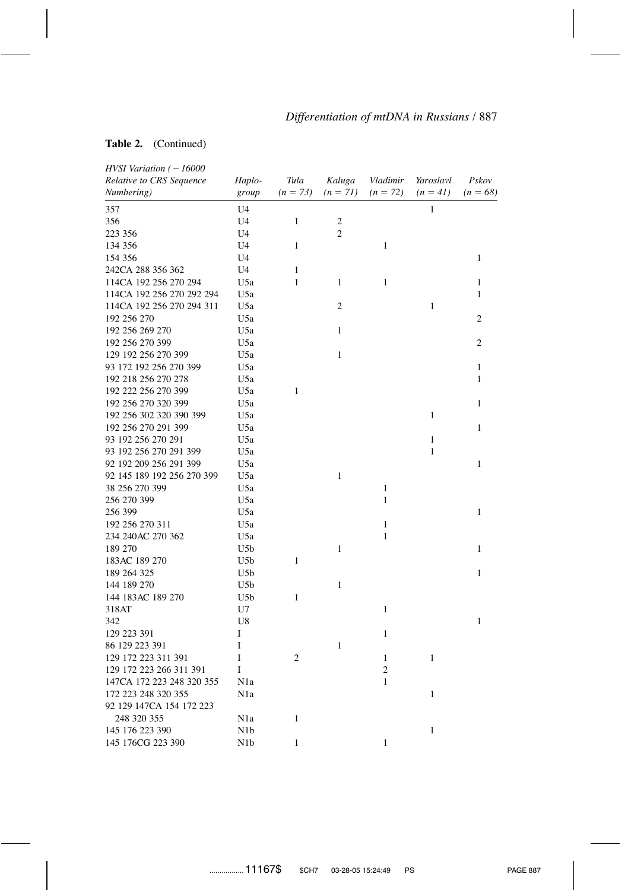### **Table 2.** (Continued)

| HVSI Variation ( - 16000                        |                  |                |                |                |              |                |
|-------------------------------------------------|------------------|----------------|----------------|----------------|--------------|----------------|
| Relative to CRS Sequence                        | Haplo-           | Tula           | Kaluga         | Vladimir       | Yaroslavl    | Pskov          |
| Numbering)                                      | group            | $(n = 73)$     | $(n = 71)$     | $(n = 72)$     | $(n = 41)$   | $(n = 68)$     |
| 357                                             | U <sub>4</sub>   |                |                |                | $\mathbf{1}$ |                |
| 356                                             | U4               | $\mathbf{1}$   | $\overline{c}$ |                |              |                |
| 223 356                                         | U4               |                | $\overline{2}$ |                |              |                |
| 134 356                                         | U <sub>4</sub>   | $\mathbf{1}$   |                | $\mathbf{1}$   |              |                |
| 154 356                                         | U <sub>4</sub>   |                |                |                |              | 1              |
| 242CA 288 356 362                               | U <sub>4</sub>   | 1              |                |                |              |                |
| 114CA 192 256 270 294                           | U <sub>5a</sub>  | $\mathbf{1}$   | 1              | $\mathbf{1}$   |              | $\mathbf{1}$   |
| 114CA 192 256 270 292 294                       | U <sub>5a</sub>  |                |                |                |              | $\mathbf{1}$   |
| 114CA 192 256 270 294 311                       | U5a              |                | $\overline{2}$ |                | $\mathbf{1}$ |                |
| 192 256 270                                     | U5a              |                |                |                |              | $\mathfrak{2}$ |
| 192 256 269 270                                 | U5a              |                | $\mathbf{1}$   |                |              |                |
| 192 256 270 399                                 | U5a              |                |                |                |              | $\mathfrak{2}$ |
| 129 192 256 270 399                             | U <sub>5</sub> a |                | $\mathbf{1}$   |                |              |                |
| 93 172 192 256 270 399                          | U5a              |                |                |                |              | 1              |
| 192 218 256 270 278                             | U5a              |                |                |                |              | 1              |
| 192 222 256 270 399                             | U <sub>5a</sub>  | $\mathbf{1}$   |                |                |              |                |
| 192 256 270 320 399                             | U <sub>5a</sub>  |                |                |                |              | $\mathbf{1}$   |
| 192 256 302 320 390 399                         | U <sub>5</sub> a |                |                |                | 1            |                |
| 192 256 270 291 399                             | U <sub>5</sub> a |                |                |                |              | 1              |
| 93 192 256 270 291                              | U <sub>5</sub> a |                |                |                | $\mathbf{1}$ |                |
| 93 192 256 270 291 399                          | U5a              |                |                |                | 1            |                |
| 92 192 209 256 291 399                          | U5a              |                |                |                |              | 1              |
| 92 145 189 192 256 270 399                      | U5a              |                | $\mathbf{1}$   |                |              |                |
| 38 256 270 399                                  | U5a              |                |                | $\mathbf{1}$   |              |                |
| 256 270 399                                     | U5a              |                |                | 1              |              |                |
| 256 399                                         | U <sub>5</sub> a |                |                |                |              | $\mathbf{1}$   |
| 192 256 270 311                                 | U5a              |                |                | $\mathbf{1}$   |              |                |
| 234 240AC 270 362                               | U <sub>5</sub> a |                |                | $\mathbf{1}$   |              |                |
| 189 270                                         | U <sub>5</sub> b |                | $\mathbf{1}$   |                |              | $\mathbf{1}$   |
| 183AC 189 270                                   | U5b              | $\mathbf{1}$   |                |                |              |                |
| 189 264 325                                     | U <sub>5</sub> b |                |                |                |              | 1              |
| 144 189 270                                     | U5b              |                | $\mathbf{1}$   |                |              |                |
| 144 183AC 189 270                               | U <sub>5</sub> b | $\mathbf{1}$   |                |                |              |                |
| 318AT                                           | U7               |                |                | 1              |              |                |
| 342                                             | U <sub>8</sub>   |                |                |                |              | $\mathbf{1}$   |
| 129 223 391                                     | I                |                |                | $\mathbf{1}$   |              |                |
| 86 129 223 391                                  | I                |                | 1              |                |              |                |
| 129 172 223 311 391                             | I                | $\overline{c}$ |                | $\mathbf{1}$   | 1            |                |
| 129 172 223 266 311 391                         | I                |                |                | $\overline{c}$ |              |                |
| 147CA 172 223 248 320 355                       | N1a              |                |                | $\mathbf{1}$   |              |                |
|                                                 |                  |                |                |                |              |                |
| 172 223 248 320 355<br>92 129 147CA 154 172 223 | N1a              |                |                |                | $\mathbf{1}$ |                |
| 248 320 355                                     |                  |                |                |                |              |                |
| 145 176 223 390                                 | N1a              | 1              |                |                | $\mathbf{1}$ |                |
| 145 176CG 223 390                               | N1b              |                |                |                |              |                |
|                                                 | N <sub>1</sub> b | 1              |                | 1              |              |                |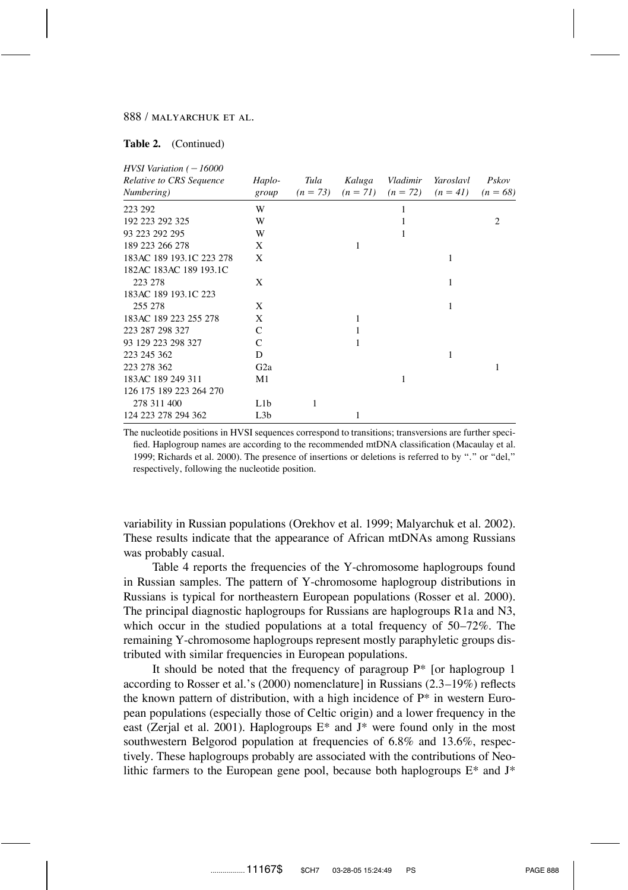#### **Table 2.** (Continued)

| $HVSI$ Variation ( $-16000$            |                  |                    |        |                                   |                         |                     |
|----------------------------------------|------------------|--------------------|--------|-----------------------------------|-------------------------|---------------------|
| Relative to CRS Sequence<br>Numbering) | Haplo-<br>group  | Tula<br>$(n = 73)$ | Kaluga | Vladimir<br>$(n = 71)$ $(n = 72)$ | Yaroslavl<br>$(n = 41)$ | Pskov<br>$(n = 68)$ |
| 223 292                                | W                |                    |        |                                   |                         |                     |
| 192 223 292 325                        | W                |                    |        |                                   |                         | $\mathfrak{D}$      |
| 93 223 292 295                         | W                |                    |        | 1                                 |                         |                     |
| 189 223 266 278                        | X                |                    | 1      |                                   |                         |                     |
| 183AC 189 193.1C 223 278               | X                |                    |        |                                   | 1                       |                     |
| 182AC 183AC 189 193.1C                 |                  |                    |        |                                   |                         |                     |
| 223 278                                | X                |                    |        |                                   | 1                       |                     |
| 183AC 189 193.1C 223                   |                  |                    |        |                                   |                         |                     |
| 255 278                                | X                |                    |        |                                   | 1                       |                     |
| 183AC 189 223 255 278                  | X                |                    | 1      |                                   |                         |                     |
| 223 287 298 327                        | C                |                    |        |                                   |                         |                     |
| 93 129 223 298 327                     | C                |                    |        |                                   |                         |                     |
| 223 245 362                            | D                |                    |        |                                   | 1                       |                     |
| 223 278 362                            | G <sub>2</sub> a |                    |        |                                   |                         | 1                   |
| 183AC 189 249 311                      | M1               |                    |        | 1                                 |                         |                     |
| 126 175 189 223 264 270                |                  |                    |        |                                   |                         |                     |
| 278 311 400                            | L <sub>1</sub> b | 1                  |        |                                   |                         |                     |
| 124 223 278 294 362                    | L <sub>3</sub> b |                    | 1      |                                   |                         |                     |

The nucleotide positions in HVSI sequences correspond to transitions; transversions are further specified. Haplogroup names are according to the recommended mtDNA classification (Macaulay et al. 1999; Richards et al. 2000). The presence of insertions or deletions is referred to by ''.'' or ''del,'' respectively, following the nucleotide position.

variability in Russian populations (Orekhov et al. 1999; Malyarchuk et al. 2002). These results indicate that the appearance of African mtDNAs among Russians was probably casual.

Table 4 reports the frequencies of the Y-chromosome haplogroups found in Russian samples. The pattern of Y-chromosome haplogroup distributions in Russians is typical for northeastern European populations (Rosser et al. 2000). The principal diagnostic haplogroups for Russians are haplogroups R1a and N3, which occur in the studied populations at a total frequency of 50–72%. The remaining Y-chromosome haplogroups represent mostly paraphyletic groups distributed with similar frequencies in European populations.

It should be noted that the frequency of paragroup  $P^*$  [or haplogroup 1 according to Rosser et al.'s (2000) nomenclature] in Russians (2.3–19%) reflects the known pattern of distribution, with a high incidence of  $P^*$  in western European populations (especially those of Celtic origin) and a lower frequency in the east (Zerjal et al. 2001). Haplogroups E\* and J\* were found only in the most southwestern Belgorod population at frequencies of 6.8% and 13.6%, respectively. These haplogroups probably are associated with the contributions of Neolithic farmers to the European gene pool, because both haplogroups  $E^*$  and  $J^*$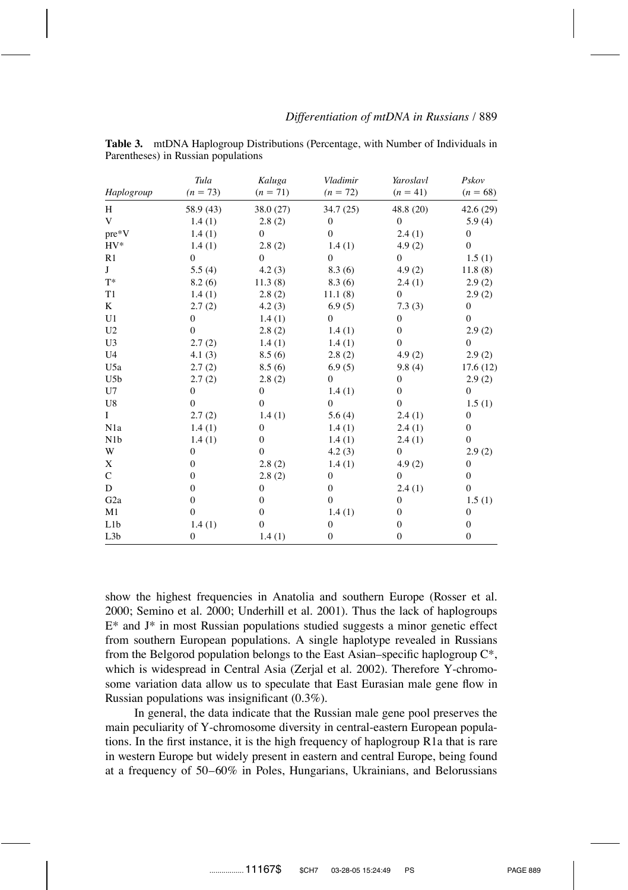|                  | Tula         | Kaluga           | Vladimir     | Yaroslavl        | Pskov        |
|------------------|--------------|------------------|--------------|------------------|--------------|
| Haplogroup       | $(n = 73)$   | $(n = 71)$       | $(n = 72)$   | $(n = 41)$       | $(n = 68)$   |
| H                | 58.9 (43)    | 38.0 (27)        | 34.7 (25)    | 48.8 (20)        | 42.6(29)     |
| V                | 1.4(1)       | 2.8(2)           | 0            | 0                | 5.9(4)       |
| pre*V            | 1.4(1)       | $\mathbf{0}$     | $\theta$     | 2.4(1)           | $\mathbf{0}$ |
| $HV^*$           | 1.4(1)       | 2.8(2)           | 1.4(1)       | 4.9(2)           | $\mathbf{0}$ |
| R <sub>1</sub>   | $\Omega$     | $\mathbf{0}$     | $\mathbf{0}$ | $\overline{0}$   | 1.5(1)       |
| J                | 5.5(4)       | 4.2(3)           | 8.3(6)       | 4.9(2)           | 11.8(8)      |
| $T^*$            | 8.2(6)       | 11.3(8)          | 8.3(6)       | 2.4(1)           | 2.9(2)       |
| T1               | 1.4(1)       | 2.8(2)           | 11.1(8)      | 0                | 2.9(2)       |
| K                | 2.7(2)       | 4.2(3)           | 6.9(5)       | 7.3(3)           | $\mathbf{0}$ |
| U <sub>1</sub>   | $\Omega$     | 1.4(1)           | $\theta$     | 0                | $\Omega$     |
| U <sub>2</sub>   | $\Omega$     | 2.8(2)           | 1.4(1)       | 0                | 2.9(2)       |
| U <sub>3</sub>   | 2.7(2)       | 1.4(1)           | 1.4(1)       | $\mathbf{0}$     | $\mathbf{0}$ |
| U <sub>4</sub>   | 4.1(3)       | 8.5(6)           | 2.8(2)       | 4.9(2)           | 2.9(2)       |
| U5a              | 2.7(2)       | 8.5(6)           | 6.9(5)       | 9.8(4)           | 17.6(12)     |
| U5b              | 2.7(2)       | 2.8(2)           | $\Omega$     | 0                | 2.9(2)       |
| U7               | $\mathbf{0}$ | $\mathbf{0}$     | 1.4(1)       | $\boldsymbol{0}$ | $\mathbf{0}$ |
| U8               | $\Omega$     | $\mathbf{0}$     | $\Omega$     | $\mathbf{0}$     | 1.5(1)       |
| I                | 2.7(2)       | 1.4(1)           | 5.6(4)       | 2.4(1)           | $\mathbf{0}$ |
| N1a              | 1.4(1)       | 0                | 1.4(1)       | 2.4(1)           | $\mathbf{0}$ |
| N <sub>1</sub> b | 1.4(1)       | $\boldsymbol{0}$ | 1.4(1)       | 2.4(1)           | $\mathbf{0}$ |
| W                | $\mathbf{0}$ | $\mathbf{0}$     | 4.2(3)       | $\boldsymbol{0}$ | 2.9(2)       |
| X                | $\Omega$     | 2.8(2)           | 1.4(1)       | 4.9(2)           | 0            |
| $\mathbf C$      | $\Omega$     | 2.8(2)           | 0            | $\boldsymbol{0}$ | 0            |
| D                | $\Omega$     | 0                | $\mathbf{0}$ | 2.4(1)           | $\mathbf{0}$ |
| G <sub>2</sub> a | $\mathbf{0}$ | $\mathbf{0}$     | $\mathbf{0}$ | $\boldsymbol{0}$ | 1.5(1)       |
| M1               | $\Omega$     | $\boldsymbol{0}$ | 1.4(1)       | 0                | 0            |
| L1b              | 1.4(1)       | $\mathbf{0}$     | 0            | 0                | 0            |
| L <sub>3</sub> b | 0            | 1.4(1)           | $\mathbf{0}$ | 0                | $\mathbf{0}$ |

**Table 3.** mtDNA Haplogroup Distributions (Percentage, with Number of Individuals in Parentheses) in Russian populations

show the highest frequencies in Anatolia and southern Europe (Rosser et al. 2000; Semino et al. 2000; Underhill et al. 2001). Thus the lack of haplogroups  $E^*$  and  $J^*$  in most Russian populations studied suggests a minor genetic effect from southern European populations. A single haplotype revealed in Russians from the Belgorod population belongs to the East Asian–specific haplogroup C\*, which is widespread in Central Asia (Zerjal et al. 2002). Therefore Y-chromosome variation data allow us to speculate that East Eurasian male gene flow in Russian populations was insignificant (0.3%).

In general, the data indicate that the Russian male gene pool preserves the main peculiarity of Y-chromosome diversity in central-eastern European populations. In the first instance, it is the high frequency of haplogroup R1a that is rare in western Europe but widely present in eastern and central Europe, being found at a frequency of 50–60% in Poles, Hungarians, Ukrainians, and Belorussians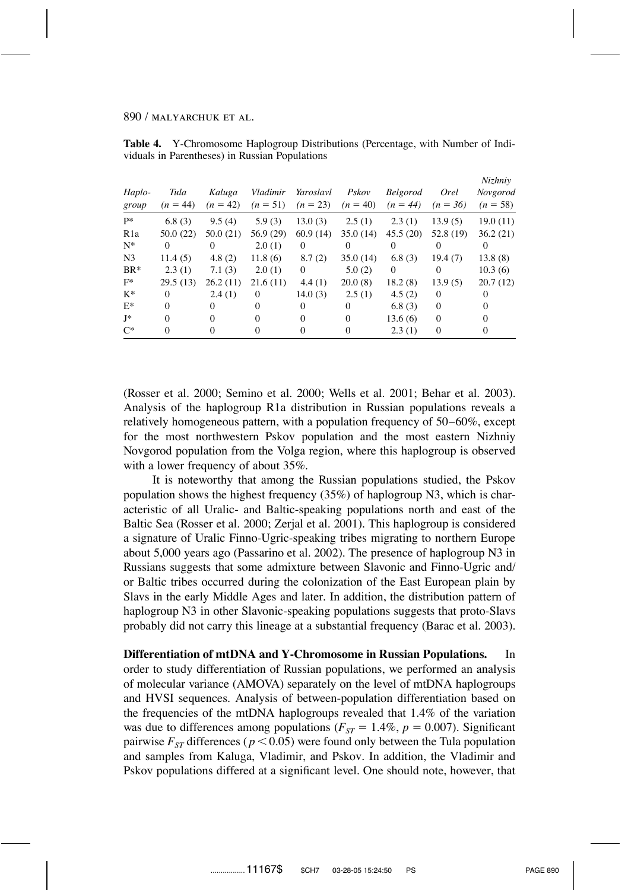| Haplo-<br>group  | Tula<br>$(n = 44)$ | Kaluga<br>$(n = 42)$ | Vladimir<br>$(n = 51)$ | Yaroslavl<br>$(n = 23)$ | Pskov<br>$(n = 40)$ | <b>Belgorod</b><br>$(n = 44)$ | <i>Orel</i><br>$(n = 36)$ | Nizhniy<br>Novgorod<br>$(n = 58)$ |
|------------------|--------------------|----------------------|------------------------|-------------------------|---------------------|-------------------------------|---------------------------|-----------------------------------|
| $P*$             | 6.8(3)             | 9.5(4)               | 5.9(3)                 | 13.0(3)                 | 2.5(1)              | 2.3(1)                        | 13.9(5)                   | 19.0(11)                          |
| R <sub>1</sub> a | 50.0(22)           | 50.0(21)             | 56.9 (29)              | 60.9(14)                | 35.0(14)            | 45.5(20)                      | 52.8(19)                  | 36.2(21)                          |
| $N^*$            | $\Omega$           | 0                    | 2.0(1)                 | $\Omega$                | $\Omega$            | $\Omega$                      | $\Omega$                  | $\Omega$                          |
| N <sub>3</sub>   | 11.4(5)            | 4.8(2)               | 11.8(6)                | 8.7(2)                  | 35.0(14)            | 6.8(3)                        | 19.4(7)                   | 13.8(8)                           |
| $BR*$            | 2.3(1)             | 7.1(3)               | 2.0(1)                 | $\mathbf{0}$            | 5.0(2)              | $\theta$                      | $^{(1)}$                  | 10.3(6)                           |
| $F^*$            | 29.5(13)           | 26.2(11)             | 21.6(11)               | 4.4(1)                  | 20.0(8)             | 18.2(8)                       | 13.9(5)                   | 20.7(12)                          |
| $K^*$            | $\Omega$           | 2.4(1)               | $\Omega$               | 14.0 $(3)$              | 2.5(1)              | 4.5(2)                        | $\Omega$                  | $\Omega$                          |
| $E^*$            | $\Omega$           | 0                    | $\Omega$               | 0                       | $\Omega$            | 6.8(3)                        | $\theta$                  | $\Omega$                          |
| J*               | $\Omega$           | $\Omega$             | $\Omega$               | $\Omega$                | $\Omega$            | 13.6(6)                       | $\Omega$                  | $\Omega$                          |
| $C^*$            | $\Omega$           | $\Omega$             | $\Omega$               | $\theta$                | $\Omega$            | 2.3(1)                        | $\mathbf{0}$              | $\Omega$                          |

**Table 4.** Y-Chromosome Haplogroup Distributions (Percentage, with Number of Individuals in Parentheses) in Russian Populations

(Rosser et al. 2000; Semino et al. 2000; Wells et al. 2001; Behar et al. 2003). Analysis of the haplogroup R1a distribution in Russian populations reveals a relatively homogeneous pattern, with a population frequency of 50–60%, except for the most northwestern Pskov population and the most eastern Nizhniy Novgorod population from the Volga region, where this haplogroup is observed with a lower frequency of about 35%.

It is noteworthy that among the Russian populations studied, the Pskov population shows the highest frequency (35%) of haplogroup N3, which is characteristic of all Uralic- and Baltic-speaking populations north and east of the Baltic Sea (Rosser et al. 2000; Zerjal et al. 2001). This haplogroup is considered a signature of Uralic Finno-Ugric-speaking tribes migrating to northern Europe about 5,000 years ago (Passarino et al. 2002). The presence of haplogroup N3 in Russians suggests that some admixture between Slavonic and Finno-Ugric and/ or Baltic tribes occurred during the colonization of the East European plain by Slavs in the early Middle Ages and later. In addition, the distribution pattern of haplogroup N3 in other Slavonic-speaking populations suggests that proto-Slavs probably did not carry this lineage at a substantial frequency (Barac et al. 2003).

**Differentiation of mtDNA and Y-Chromosome in Russian Populations.** In order to study differentiation of Russian populations, we performed an analysis of molecular variance (AMOVA) separately on the level of mtDNA haplogroups and HVSI sequences. Analysis of between-population differentiation based on the frequencies of the mtDNA haplogroups revealed that 1.4% of the variation was due to differences among populations ( $F_{ST} = 1.4\%$ ,  $p = 0.007$ ). Significant pairwise  $F_{ST}$  differences ( $p < 0.05$ ) were found only between the Tula population and samples from Kaluga, Vladimir, and Pskov. In addition, the Vladimir and Pskov populations differed at a significant level. One should note, however, that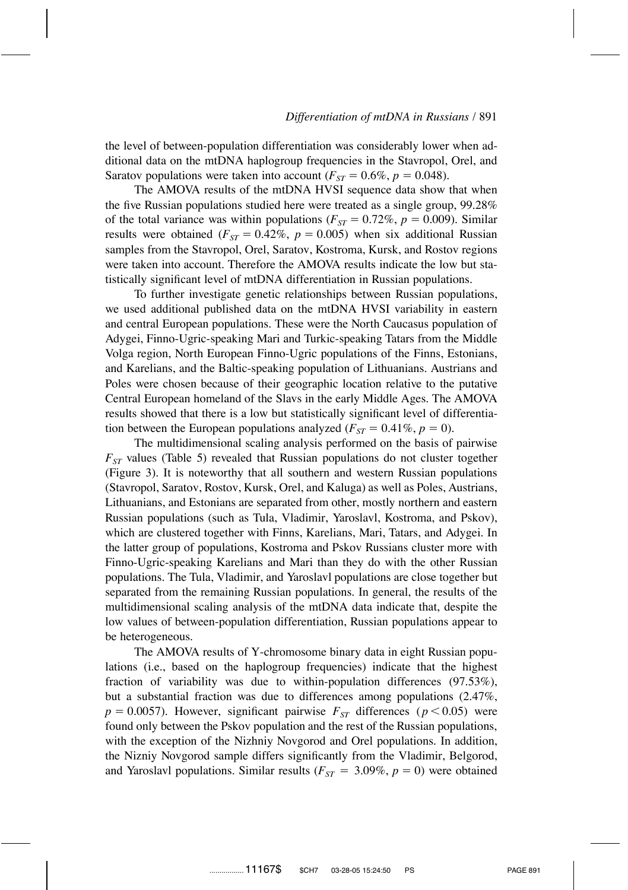the level of between-population differentiation was considerably lower when additional data on the mtDNA haplogroup frequencies in the Stavropol, Orel, and Saratov populations were taken into account ( $F_{ST} = 0.6\%$ ,  $p = 0.048$ ).

The AMOVA results of the mtDNA HVSI sequence data show that when the five Russian populations studied here were treated as a single group, 99.28% of the total variance was within populations ( $F_{ST} = 0.72\%$ ,  $p = 0.009$ ). Similar results were obtained ( $F_{ST} = 0.42\%$ ,  $p = 0.005$ ) when six additional Russian samples from the Stavropol, Orel, Saratov, Kostroma, Kursk, and Rostov regions were taken into account. Therefore the AMOVA results indicate the low but statistically significant level of mtDNA differentiation in Russian populations.

To further investigate genetic relationships between Russian populations, we used additional published data on the mtDNA HVSI variability in eastern and central European populations. These were the North Caucasus population of Adygei, Finno-Ugric-speaking Mari and Turkic-speaking Tatars from the Middle Volga region, North European Finno-Ugric populations of the Finns, Estonians, and Karelians, and the Baltic-speaking population of Lithuanians. Austrians and Poles were chosen because of their geographic location relative to the putative Central European homeland of the Slavs in the early Middle Ages. The AMOVA results showed that there is a low but statistically significant level of differentiation between the European populations analyzed ( $F_{ST} = 0.41\%$ ,  $p = 0$ ).

The multidimensional scaling analysis performed on the basis of pairwise  $F<sub>ST</sub>$  values (Table 5) revealed that Russian populations do not cluster together (Figure 3). It is noteworthy that all southern and western Russian populations (Stavropol, Saratov, Rostov, Kursk, Orel, and Kaluga) as well as Poles, Austrians, Lithuanians, and Estonians are separated from other, mostly northern and eastern Russian populations (such as Tula, Vladimir, Yaroslavl, Kostroma, and Pskov), which are clustered together with Finns, Karelians, Mari, Tatars, and Adygei. In the latter group of populations, Kostroma and Pskov Russians cluster more with Finno-Ugric-speaking Karelians and Mari than they do with the other Russian populations. The Tula, Vladimir, and Yaroslavl populations are close together but separated from the remaining Russian populations. In general, the results of the multidimensional scaling analysis of the mtDNA data indicate that, despite the low values of between-population differentiation, Russian populations appear to be heterogeneous.

The AMOVA results of Y-chromosome binary data in eight Russian populations (i.e., based on the haplogroup frequencies) indicate that the highest fraction of variability was due to within-population differences (97.53%), but a substantial fraction was due to differences among populations (2.47%,  $p = 0.0057$ . However, significant pairwise  $F_{ST}$  differences ( $p < 0.05$ ) were found only between the Pskov population and the rest of the Russian populations, with the exception of the Nizhniy Novgorod and Orel populations. In addition, the Nizniy Novgorod sample differs significantly from the Vladimir, Belgorod, and Yaroslavl populations. Similar results ( $F_{ST} = 3.09\%$ ,  $p = 0$ ) were obtained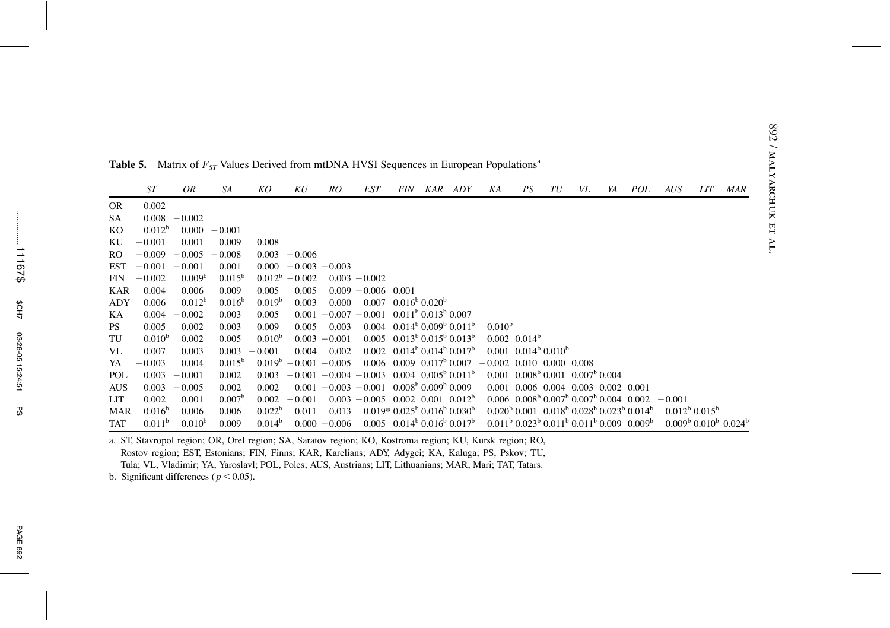|     | <b>ST</b>          | OR                 | SA                 | KO                 | KU                | RO                              | <b>EST</b>      | <i>FIN</i>                                                       | KAR | ADY | ΚA                         | PS               | TU                                      | VL                                                                                      | YA | <i>POL</i> | <b>AUS</b>              | LIT | MAR                                             |
|-----|--------------------|--------------------|--------------------|--------------------|-------------------|---------------------------------|-----------------|------------------------------------------------------------------|-----|-----|----------------------------|------------------|-----------------------------------------|-----------------------------------------------------------------------------------------|----|------------|-------------------------|-----|-------------------------------------------------|
| OR  | 0.002              |                    |                    |                    |                   |                                 |                 |                                                                  |     |     |                            |                  |                                         |                                                                                         |    |            |                         |     |                                                 |
| SA  | 0.008              | $-0.002$           |                    |                    |                   |                                 |                 |                                                                  |     |     |                            |                  |                                         |                                                                                         |    |            |                         |     |                                                 |
| KО  | $0.012^b$          | 0.000              | $-0.001$           |                    |                   |                                 |                 |                                                                  |     |     |                            |                  |                                         |                                                                                         |    |            |                         |     |                                                 |
| ΚU  | $-0.001$           | 0.001              | 0.009              | 0.008              |                   |                                 |                 |                                                                  |     |     |                            |                  |                                         |                                                                                         |    |            |                         |     |                                                 |
| RO  | $-0.009$           | $-0.005$           | $-0.008$           | 0.003              | $-0.006$          |                                 |                 |                                                                  |     |     |                            |                  |                                         |                                                                                         |    |            |                         |     |                                                 |
| EST | $-0.001$           | $-0.001$           | 0.001              | 0.000              |                   | $-0.003 - 0.003$                |                 |                                                                  |     |     |                            |                  |                                         |                                                                                         |    |            |                         |     |                                                 |
| FIN | $-0.002$           | 0.009 <sup>b</sup> | $0.015^{b}$        |                    | $0.012^b - 0.002$ |                                 | $0.003 - 0.002$ |                                                                  |     |     |                            |                  |                                         |                                                                                         |    |            |                         |     |                                                 |
| KAR | 0.004              | 0.006              | 0.009              | 0.005              | 0.005             |                                 | $0.009 - 0.006$ | 0.001                                                            |     |     |                            |                  |                                         |                                                                                         |    |            |                         |     |                                                 |
| ADY | 0.006              | $0.012^b$          | $0.016^b$          | 0.019 <sup>b</sup> | 0.003             | 0.000                           | 0.007           | $0.016^{\circ}$ 0.020 <sup>b</sup>                               |     |     |                            |                  |                                         |                                                                                         |    |            |                         |     |                                                 |
| KА  | 0.004              | $-0.002$           | 0.003              | 0.005              | 0.001             | $-0.007 - 0.001$                |                 | $0.011^{b} 0.013^{b} 0.007$                                      |     |     |                            |                  |                                         |                                                                                         |    |            |                         |     |                                                 |
| PS. | 0.005              | 0.002              | 0.003              | 0.009              | 0.005             | 0.003                           | 0.004           | $0.014^{b}$ $0.009^{b}$ $0.011^{b}$                              |     |     | $0.010^{b}$                |                  |                                         |                                                                                         |    |            |                         |     |                                                 |
| TU  | $0.010^{b}$        | 0.002              | 0.005              | 0.010 <sup>b</sup> |                   | $0.003 - 0.001$                 | 0.005           | $0.013^{b} 0.015^{b} 0.013^{b}$                                  |     |     |                            | $0.002$ $0.014b$ |                                         |                                                                                         |    |            |                         |     |                                                 |
| VL  | 0.007              | 0.003              | 0.003              | $-0.001$           | 0.004             | 0.002                           |                 | $0.002$ $0.014^{\text{b}}$ $0.014^{\text{b}}$ $0.017^{\text{b}}$ |     |     |                            |                  | $0.001$ $0.014^{\circ}$ $0.010^{\circ}$ |                                                                                         |    |            |                         |     |                                                 |
| YA  | $-0.003$           | 0.004              | $0.015^{\circ}$    |                    |                   | $0.019^{\circ} - 0.001 - 0.005$ |                 | $0.006$ $0.009$ $0.017^{\circ}$ $0.007$                          |     |     | $-0.002$ 0.010 0.000 0.008 |                  |                                         |                                                                                         |    |            |                         |     |                                                 |
| POL | 0.003              | $-0.001$           | 0.002              | 0.003              |                   | $-0.001 - 0.004 - 0.003$        |                 | $0.004$ $0.005^{\rm b}$ $0.011^{\rm b}$                          |     |     |                            |                  |                                         | $0.001$ $0.008^{\text{b}}$ $0.001$ $0.007^{\text{b}}$ $0.004$                           |    |            |                         |     |                                                 |
| AUS | 0.003              | $-0.005$           | 0.002              | 0.002              |                   | $0.001 - 0.003 - 0.001$         |                 | $0.008b 0.009b 0.009$                                            |     |     |                            |                  |                                         | 0.001 0.006 0.004 0.003 0.002 0.001                                                     |    |            |                         |     |                                                 |
| LIT | 0.002              | 0.001              | 0.007 <sup>b</sup> | 0.002              | $-0.001$          |                                 | $0.003 - 0.005$ | $0.002$ $0.001$ $0.012^b$                                        |     |     |                            |                  |                                         | $0.006$ $0.008^{\mathrm{b}}$ $0.007^{\mathrm{b}}$ $0.007^{\mathrm{b}}$ $0.004$ $0.002$  |    |            | $-0.001$                |     |                                                 |
| MAR | $0.016^b$          | 0.006              | 0.006              | $0.022^b$          | 0.011             | 0.013                           |                 | $0.019*0.025^b 0.016^b 0.030^b$                                  |     |     |                            |                  |                                         | $0.020^{b}$ $0.001$ $0.018^{b}$ $0.028^{b}$ $0.023^{b}$ $0.014^{b}$                     |    |            | $0.012^{b}$ $0.015^{b}$ |     |                                                 |
| TAT | 0.011 <sup>b</sup> | $0.010^{b}$        | 0.009              | 0.014 <sup>b</sup> |                   | $0.000 - 0.006$                 |                 | $0.005$ $0.014^b$ $0.016^b$ $0.017^b$                            |     |     |                            |                  |                                         | $0.011^{\rm b}$ $0.023^{\rm b}$ $0.011^{\rm b}$ $0.011^{\rm b}$ $0.009$ $0.009^{\rm b}$ |    |            |                         |     | $0.009^{\rm b}$ $0.010^{\rm b}$ $0.024^{\rm b}$ |

**Table 5.** Matrix of  $F_{ST}$  Values Derived from mtDNA HVSI Sequences in European Populations<sup>a</sup>

a. ST, Stavropol region; OR, Orel region; SA, Saratov region; KO, Kostroma region; KU, Kursk region; RO, Rostov region; EST, Estonians; FIN, Finns; KAR, Karelians; ADY, Adygei; KA, Kaluga; PS, Pskov; TU, Tula; VL, Vladimir; YA, Yaroslavl; POL, Poles; AUS, Austrians; LIT, Lithuanians; MAR, Mari; TAT, Tatars.

b. Significant differences ( $p < 0.05$ ).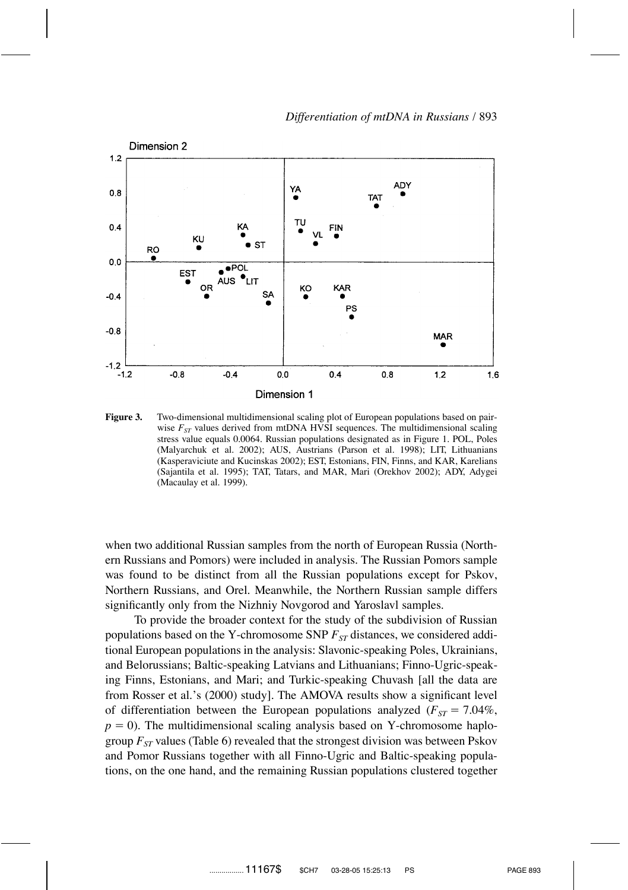

**Figure 3.** Two-dimensional multidimensional scaling plot of European populations based on pairwise  $F<sub>ST</sub>$  values derived from mtDNA HVSI sequences. The multidimensional scaling stress value equals 0.0064. Russian populations designated as in Figure 1. POL, Poles (Malyarchuk et al. 2002); AUS, Austrians (Parson et al. 1998); LIT, Lithuanians (Kasperaviciute and Kucinskas 2002); EST, Estonians, FIN, Finns, and KAR, Karelians (Sajantila et al. 1995); TAT, Tatars, and MAR, Mari (Orekhov 2002); ADY, Adygei (Macaulay et al. 1999).

when two additional Russian samples from the north of European Russia (Northern Russians and Pomors) were included in analysis. The Russian Pomors sample was found to be distinct from all the Russian populations except for Pskov, Northern Russians, and Orel. Meanwhile, the Northern Russian sample differs significantly only from the Nizhniy Novgorod and Yaroslavl samples.

To provide the broader context for the study of the subdivision of Russian populations based on the Y-chromosome SNP  $F_{ST}$  distances, we considered additional European populations in the analysis: Slavonic-speaking Poles, Ukrainians, and Belorussians; Baltic-speaking Latvians and Lithuanians; Finno-Ugric-speaking Finns, Estonians, and Mari; and Turkic-speaking Chuvash [all the data are from Rosser et al.'s (2000) study]. The AMOVA results show a significant level of differentiation between the European populations analyzed  $(F_{ST} = 7.04\%$ ,  $p = 0$ ). The multidimensional scaling analysis based on Y-chromosome haplogroup  $F_{ST}$  values (Table 6) revealed that the strongest division was between Pskov and Pomor Russians together with all Finno-Ugric and Baltic-speaking populations, on the one hand, and the remaining Russian populations clustered together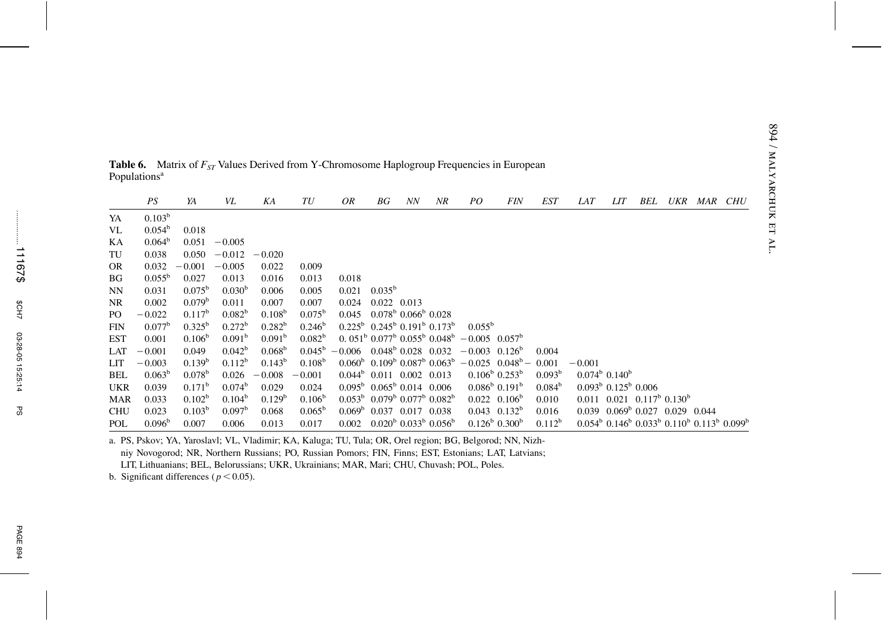|            | PS                 | YA                 | VL                 | ΚA                 | TU                 | OR                                   | ВG              | NN                                                  | NR                                                                       | PO.                                                                                                               | <b>FIN</b>                         | EST                | <b>LAT</b> | LIT                                                                                                            | BEL | UKR | <i>MAR CHU</i> |  |
|------------|--------------------|--------------------|--------------------|--------------------|--------------------|--------------------------------------|-----------------|-----------------------------------------------------|--------------------------------------------------------------------------|-------------------------------------------------------------------------------------------------------------------|------------------------------------|--------------------|------------|----------------------------------------------------------------------------------------------------------------|-----|-----|----------------|--|
| YA         | 0.103 <sup>b</sup> |                    |                    |                    |                    |                                      |                 |                                                     |                                                                          |                                                                                                                   |                                    |                    |            |                                                                                                                |     |     |                |  |
| VL         | $0.054^b$          | 0.018              |                    |                    |                    |                                      |                 |                                                     |                                                                          |                                                                                                                   |                                    |                    |            |                                                                                                                |     |     |                |  |
| KА         | 0.064 <sup>b</sup> | 0.051              | $-0.005$           |                    |                    |                                      |                 |                                                     |                                                                          |                                                                                                                   |                                    |                    |            |                                                                                                                |     |     |                |  |
| TU         | 0.038              | 0.050              | $-0.012$           | $-0.020$           |                    |                                      |                 |                                                     |                                                                          |                                                                                                                   |                                    |                    |            |                                                                                                                |     |     |                |  |
| <b>OR</b>  | 0.032              | $-0.001$           | $-0.005$           | 0.022              | 0.009              |                                      |                 |                                                     |                                                                          |                                                                                                                   |                                    |                    |            |                                                                                                                |     |     |                |  |
| BG         | $0.055^{\rm b}$    | 0.027              | 0.013              | 0.016              | 0.013              | 0.018                                |                 |                                                     |                                                                          |                                                                                                                   |                                    |                    |            |                                                                                                                |     |     |                |  |
| NN         | 0.031              | $0.075^{\rm b}$    | 0.030 <sup>b</sup> | 0.006              | 0.005              | 0.021                                | $0.035^{\rm b}$ |                                                     |                                                                          |                                                                                                                   |                                    |                    |            |                                                                                                                |     |     |                |  |
| <b>NR</b>  | 0.002              | 0.079 <sup>b</sup> | 0.011              | 0.007              | 0.007              | 0.024                                | 0.022 0.013     |                                                     |                                                                          |                                                                                                                   |                                    |                    |            |                                                                                                                |     |     |                |  |
| PO.        | $-0.022$           | $0.117^{b}$        | $0.082^b$          | 0.108 <sup>b</sup> | $0.075^{\rm b}$    | 0.045                                |                 | $0.078^{\rm b}$ 0.066 <sup>b</sup> 0.028            |                                                                          |                                                                                                                   |                                    |                    |            |                                                                                                                |     |     |                |  |
| <b>FIN</b> | $0.077^{\rm b}$    | $0.325^{\rm b}$    | $0.272^{\rm b}$    | $0.282^{\rm b}$    | $0.246^{\rm b}$    |                                      |                 |                                                     | $0.225^{\rm b}$ $0.245^{\rm b}$ $0.191^{\rm b}$ $0.173^{\rm b}$          | $0.055^{\rm b}$                                                                                                   |                                    |                    |            |                                                                                                                |     |     |                |  |
| <b>EST</b> | 0.001              | 0.106 <sup>b</sup> | 0.091 <sup>b</sup> | 0.091 <sup>b</sup> | 0.082 <sup>b</sup> |                                      |                 |                                                     |                                                                          | $0.051^{\mathrm{b}}$ $0.077^{\mathrm{b}}$ $0.055^{\mathrm{b}}$ $0.048^{\mathrm{b}}$ $-0.005$ $0.057^{\mathrm{b}}$ |                                    |                    |            |                                                                                                                |     |     |                |  |
| LAT        | $-0.001$           | 0.049              | $0.042^b$          | 0.068 <sup>b</sup> | $0.045^{\rm b}$    | $-0.006$ $0.048^{\circ}$ 0.028 0.032 |                 |                                                     |                                                                          | $-0.003$ 0.126 <sup>b</sup>                                                                                       |                                    | 0.004              |            |                                                                                                                |     |     |                |  |
| LIT        | $-0.003$           | $0.139^{b}$        | $0.112^b$          | $0.143^b$          | 0.108 <sup>b</sup> |                                      |                 |                                                     | $0.060^{\rm b}$ 0.109 <sup>b</sup> 0.087 <sup>b</sup> 0.063 <sup>b</sup> | $-0.025$ $0.048^b$ -                                                                                              |                                    | 0.001              | $-0.001$   |                                                                                                                |     |     |                |  |
| <b>BEL</b> | $0.063^b$          | $0.078^{b}$        | 0.026              | $-0.008$           | $-0.001$           |                                      |                 | $0.044^b$ 0.011 0.002 0.013                         |                                                                          |                                                                                                                   | $0.106^{\rm b}$ $0.253^{\rm b}$    | 0.093 <sup>b</sup> |            | $0.074^{\circ}$ 0.140 <sup>b</sup>                                                                             |     |     |                |  |
| <b>UKR</b> | 0.039              | $0.171^{\rm b}$    | 0.074 <sup>b</sup> | 0.029              | 0.024              |                                      |                 | $0.095^{\mathrm{b}}$ 0.065 <sup>b</sup> 0.014 0.006 |                                                                          |                                                                                                                   | $0.086^{\rm b}$ 0.191 <sup>b</sup> | 0.084 <sup>b</sup> |            | $0.093b$ 0.125 <sup>b</sup> 0.006                                                                              |     |     |                |  |
| <b>MAR</b> | 0.033              | 0.102 <sup>b</sup> | $0.104^b$          | 0.129 <sup>b</sup> | 0.106 <sup>b</sup> |                                      |                 |                                                     | $0.053^{\rm b}$ $0.079^{\rm b}$ $0.077^{\rm b}$ $0.082^{\rm b}$          |                                                                                                                   | $0.022$ $0.106^{\rm b}$            | 0.010              |            | $0.011$ $0.021$ $0.117^{\rm b}$ $0.130^{\rm b}$                                                                |     |     |                |  |
| <b>CHU</b> | 0.023              | $0.103^b$          | $0.097^{\rm b}$    | 0.068              | $0.065^{\rm b}$    |                                      |                 | $0.069^{\circ}$ 0.037 0.017 0.038                   |                                                                          |                                                                                                                   | $0.043$ $0.132^b$                  | 0.016              |            | $0.039$ $0.069^b$ $0.027$ $0.029$ $0.044$                                                                      |     |     |                |  |
| POL        | 0.096 <sup>b</sup> | 0.007              | 0.006              | 0.013              | 0.017              | 0.002                                |                 |                                                     | $0.020^{\rm b}$ $0.033^{\rm b}$ $0.056^{\rm b}$                          |                                                                                                                   | $0.126^{\rm b}$ 0.300 <sup>b</sup> | $0.112^b$          |            | $0.054^{\rm b}$ 0.146 <sup>b</sup> 0.033 <sup>b</sup> 0.110 <sup>b</sup> 0.113 <sup>b</sup> 0.099 <sup>b</sup> |     |     |                |  |

**Table 6.** Matrix of  $F_{ST}$  Values Derived from Y-Chromosome Haplogroup Frequencies in European Populations<sup>a</sup>

a. PS, Pskov; YA, Yaroslavl; VL, Vladimir; KA, Kaluga; TU, Tula; OR, Orel region; BG, Belgorod; NN, Nizhniy Novogorod; NR, Northern Russians; PO, Russian Pomors; FIN, Finns; EST, Estonians; LAT, Latvians; LIT, Lithuanians; BEL, Belorussians; UKR, Ukrainians; MAR, Mari; CHU, Chuvash; POL, Poles.

b. Significant differences ( $p < 0.05$ ).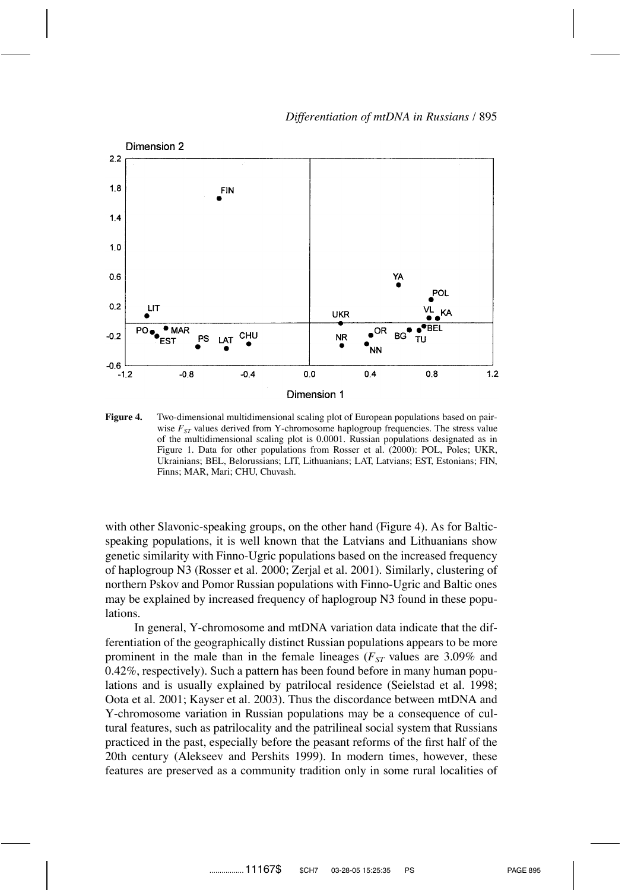

**Figure 4.** Two-dimensional multidimensional scaling plot of European populations based on pairwise  $F_{ST}$  values derived from Y-chromosome haplogroup frequencies. The stress value of the multidimensional scaling plot is 0.0001. Russian populations designated as in Figure 1. Data for other populations from Rosser et al. (2000): POL, Poles; UKR, Ukrainians; BEL, Belorussians; LIT, Lithuanians; LAT, Latvians; EST, Estonians; FIN, Finns; MAR, Mari; CHU, Chuvash.

with other Slavonic-speaking groups, on the other hand (Figure 4). As for Balticspeaking populations, it is well known that the Latvians and Lithuanians show genetic similarity with Finno-Ugric populations based on the increased frequency of haplogroup N3 (Rosser et al. 2000; Zerjal et al. 2001). Similarly, clustering of northern Pskov and Pomor Russian populations with Finno-Ugric and Baltic ones may be explained by increased frequency of haplogroup N3 found in these populations.

In general, Y-chromosome and mtDNA variation data indicate that the differentiation of the geographically distinct Russian populations appears to be more prominent in the male than in the female lineages ( $F_{ST}$  values are 3.09% and 0.42%, respectively). Such a pattern has been found before in many human populations and is usually explained by patrilocal residence (Seielstad et al. 1998; Oota et al. 2001; Kayser et al. 2003). Thus the discordance between mtDNA and Y-chromosome variation in Russian populations may be a consequence of cultural features, such as patrilocality and the patrilineal social system that Russians practiced in the past, especially before the peasant reforms of the first half of the 20th century (Alekseev and Pershits 1999). In modern times, however, these features are preserved as a community tradition only in some rural localities of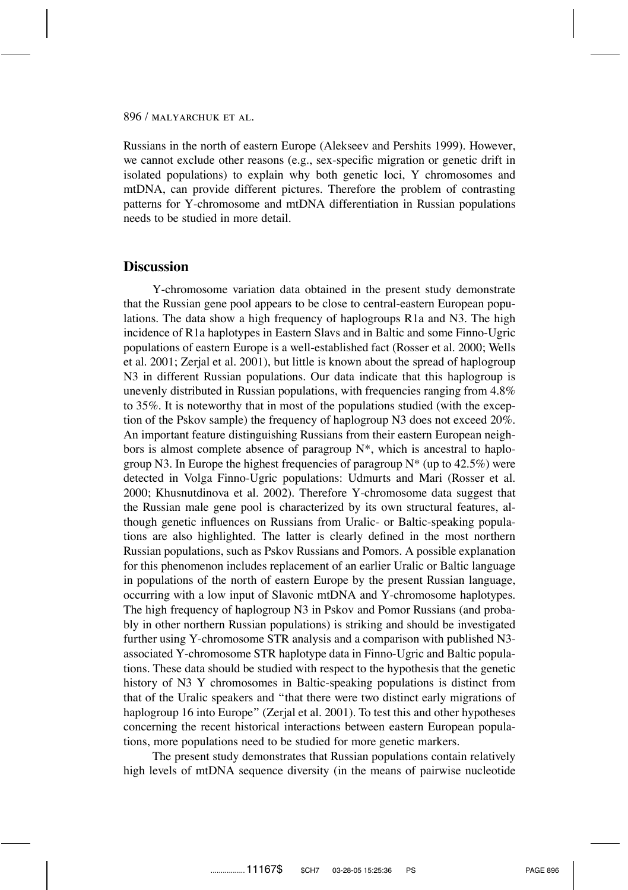Russians in the north of eastern Europe (Alekseev and Pershits 1999). However, we cannot exclude other reasons (e.g., sex-specific migration or genetic drift in isolated populations) to explain why both genetic loci, Y chromosomes and mtDNA, can provide different pictures. Therefore the problem of contrasting patterns for Y-chromosome and mtDNA differentiation in Russian populations needs to be studied in more detail.

### **Discussion**

Y-chromosome variation data obtained in the present study demonstrate that the Russian gene pool appears to be close to central-eastern European populations. The data show a high frequency of haplogroups R1a and N3. The high incidence of R1a haplotypes in Eastern Slavs and in Baltic and some Finno-Ugric populations of eastern Europe is a well-established fact (Rosser et al. 2000; Wells et al. 2001; Zerjal et al. 2001), but little is known about the spread of haplogroup N3 in different Russian populations. Our data indicate that this haplogroup is unevenly distributed in Russian populations, with frequencies ranging from 4.8% to 35%. It is noteworthy that in most of the populations studied (with the exception of the Pskov sample) the frequency of haplogroup N3 does not exceed 20%. An important feature distinguishing Russians from their eastern European neighbors is almost complete absence of paragroup  $N^*$ , which is ancestral to haplogroup N3. In Europe the highest frequencies of paragroup  $N^*$  (up to 42.5%) were detected in Volga Finno-Ugric populations: Udmurts and Mari (Rosser et al. 2000; Khusnutdinova et al. 2002). Therefore Y-chromosome data suggest that the Russian male gene pool is characterized by its own structural features, although genetic influences on Russians from Uralic- or Baltic-speaking populations are also highlighted. The latter is clearly defined in the most northern Russian populations, such as Pskov Russians and Pomors. A possible explanation for this phenomenon includes replacement of an earlier Uralic or Baltic language in populations of the north of eastern Europe by the present Russian language, occurring with a low input of Slavonic mtDNA and Y-chromosome haplotypes. The high frequency of haplogroup N3 in Pskov and Pomor Russians (and probably in other northern Russian populations) is striking and should be investigated further using Y-chromosome STR analysis and a comparison with published N3 associated Y-chromosome STR haplotype data in Finno-Ugric and Baltic populations. These data should be studied with respect to the hypothesis that the genetic history of N3 Y chromosomes in Baltic-speaking populations is distinct from that of the Uralic speakers and ''that there were two distinct early migrations of haplogroup 16 into Europe" (Zerjal et al. 2001). To test this and other hypotheses concerning the recent historical interactions between eastern European populations, more populations need to be studied for more genetic markers.

The present study demonstrates that Russian populations contain relatively high levels of mtDNA sequence diversity (in the means of pairwise nucleotide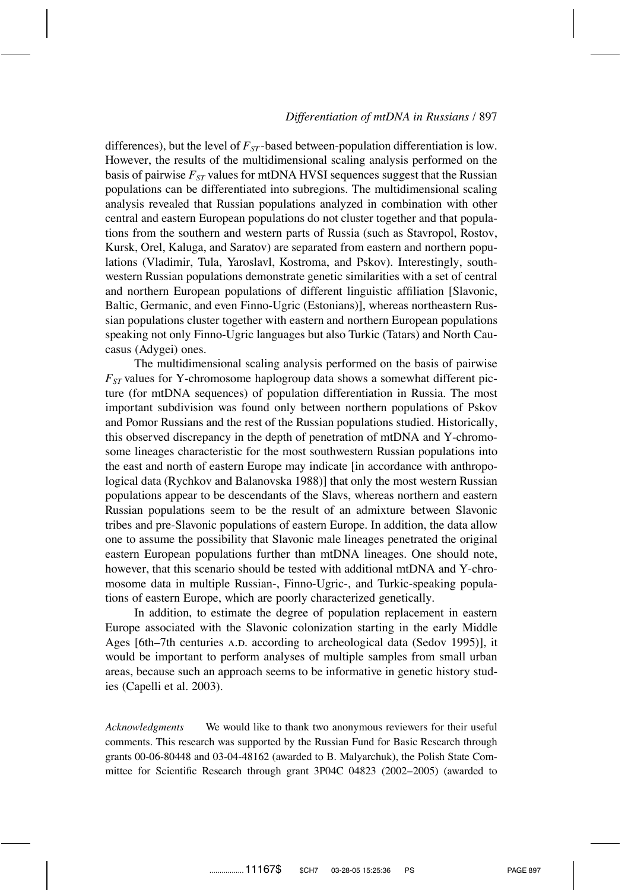differences), but the level of  $F_{ST}$ -based between-population differentiation is low. However, the results of the multidimensional scaling analysis performed on the basis of pairwise  $F_{ST}$  values for mtDNA HVSI sequences suggest that the Russian populations can be differentiated into subregions. The multidimensional scaling analysis revealed that Russian populations analyzed in combination with other central and eastern European populations do not cluster together and that populations from the southern and western parts of Russia (such as Stavropol, Rostov, Kursk, Orel, Kaluga, and Saratov) are separated from eastern and northern populations (Vladimir, Tula, Yaroslavl, Kostroma, and Pskov). Interestingly, southwestern Russian populations demonstrate genetic similarities with a set of central and northern European populations of different linguistic affiliation [Slavonic, Baltic, Germanic, and even Finno-Ugric (Estonians)], whereas northeastern Russian populations cluster together with eastern and northern European populations speaking not only Finno-Ugric languages but also Turkic (Tatars) and North Caucasus (Adygei) ones.

The multidimensional scaling analysis performed on the basis of pairwise  $F_{ST}$  values for Y-chromosome haplogroup data shows a somewhat different picture (for mtDNA sequences) of population differentiation in Russia. The most important subdivision was found only between northern populations of Pskov and Pomor Russians and the rest of the Russian populations studied. Historically, this observed discrepancy in the depth of penetration of mtDNA and Y-chromosome lineages characteristic for the most southwestern Russian populations into the east and north of eastern Europe may indicate [in accordance with anthropological data (Rychkov and Balanovska 1988)] that only the most western Russian populations appear to be descendants of the Slavs, whereas northern and eastern Russian populations seem to be the result of an admixture between Slavonic tribes and pre-Slavonic populations of eastern Europe. In addition, the data allow one to assume the possibility that Slavonic male lineages penetrated the original eastern European populations further than mtDNA lineages. One should note, however, that this scenario should be tested with additional mtDNA and Y-chromosome data in multiple Russian-, Finno-Ugric-, and Turkic-speaking populations of eastern Europe, which are poorly characterized genetically.

In addition, to estimate the degree of population replacement in eastern Europe associated with the Slavonic colonization starting in the early Middle Ages [6th–7th centuries A.D. according to archeological data (Sedov 1995)], it would be important to perform analyses of multiple samples from small urban areas, because such an approach seems to be informative in genetic history studies (Capelli et al. 2003).

*Acknowledgments* We would like to thank two anonymous reviewers for their useful comments. This research was supported by the Russian Fund for Basic Research through grants 00-06-80448 and 03-04-48162 (awarded to B. Malyarchuk), the Polish State Committee for Scientific Research through grant 3P04C 04823 (2002–2005) (awarded to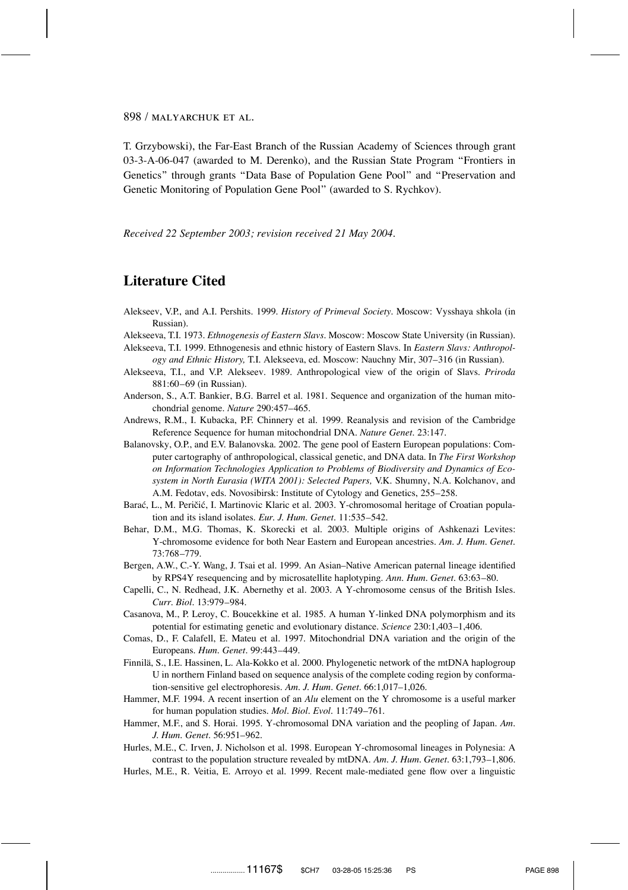T. Grzybowski), the Far-East Branch of the Russian Academy of Sciences through grant 03-3-A-06-047 (awarded to M. Derenko), and the Russian State Program ''Frontiers in Genetics'' through grants ''Data Base of Population Gene Pool'' and ''Preservation and Genetic Monitoring of Population Gene Pool'' (awarded to S. Rychkov).

*Received 22 September 2003; revision received 21 May 2004.*

# **Literature Cited**

- Alekseev, V.P., and A.I. Pershits. 1999. *History of Primeval Society*. Moscow: Vysshaya shkola (in Russian).
- Alekseeva, T.I. 1973. *Ethnogenesis of Eastern Slavs*. Moscow: Moscow State University (in Russian).
- Alekseeva, T.I. 1999. Ethnogenesis and ethnic history of Eastern Slavs. In *Eastern Slavs: Anthropology and Ethnic History,* T.I. Alekseeva, ed. Moscow: Nauchny Mir, 307–316 (in Russian).
- Alekseeva, T.I., and V.P. Alekseev. 1989. Anthropological view of the origin of Slavs. *Priroda* 881:60–69 (in Russian).
- Anderson, S., A.T. Bankier, B.G. Barrel et al. 1981. Sequence and organization of the human mitochondrial genome. *Nature* 290:457–465.
- Andrews, R.M., I. Kubacka, P.F. Chinnery et al. 1999. Reanalysis and revision of the Cambridge Reference Sequence for human mitochondrial DNA. *Nature Genet.* 23:147.
- Balanovsky, O.P., and E.V. Balanovska. 2002. The gene pool of Eastern European populations: Computer cartography of anthropological, classical genetic, and DNA data. In *The First Workshop on Information Technologies Application to Problems of Biodiversity and Dynamics of Ecosystem in North Eurasia (WITA 2001): Selected Papers,* V.K. Shumny, N.A. Kolchanov, and A.M. Fedotav, eds. Novosibirsk: Institute of Cytology and Genetics, 255–258.
- Barać, L., M. Peričić, I. Martinovic Klaric et al. 2003. Y-chromosomal heritage of Croatian population and its island isolates. *Eur. J. Hum. Genet.* 11:535–542.
- Behar, D.M., M.G. Thomas, K. Skorecki et al. 2003. Multiple origins of Ashkenazi Levites: Y-chromosome evidence for both Near Eastern and European ancestries. *Am. J. Hum. Genet.* 73:768–779.
- Bergen, A.W., C.-Y. Wang, J. Tsai et al. 1999. An Asian–Native American paternal lineage identified by RPS4Y resequencing and by microsatellite haplotyping. *Ann. Hum. Genet.* 63:63–80.
- Capelli, C., N. Redhead, J.K. Abernethy et al. 2003. A Y-chromosome census of the British Isles. *Curr. Biol.* 13:979–984.
- Casanova, M., P. Leroy, C. Boucekkine et al. 1985. A human Y-linked DNA polymorphism and its potential for estimating genetic and evolutionary distance. *Science* 230:1,403–1,406.
- Comas, D., F. Calafell, E. Mateu et al. 1997. Mitochondrial DNA variation and the origin of the Europeans. *Hum. Genet.* 99:443–449.
- Finnilä, S., I.E. Hassinen, L. Ala-Kokko et al. 2000. Phylogenetic network of the mtDNA haplogroup U in northern Finland based on sequence analysis of the complete coding region by conformation-sensitive gel electrophoresis. *Am. J. Hum. Genet.* 66:1,017–1,026.
- Hammer, M.F. 1994. A recent insertion of an *Alu* element on the Y chromosome is a useful marker for human population studies. *Mol. Biol. Evol.* 11:749–761.
- Hammer, M.F., and S. Horai. 1995. Y-chromosomal DNA variation and the peopling of Japan. *Am. J. Hum. Genet.* 56:951–962.
- Hurles, M.E., C. Irven, J. Nicholson et al. 1998. European Y-chromosomal lineages in Polynesia: A contrast to the population structure revealed by mtDNA. *Am. J. Hum. Genet.* 63:1,793–1,806.
- Hurles, M.E., R. Veitia, E. Arroyo et al. 1999. Recent male-mediated gene flow over a linguistic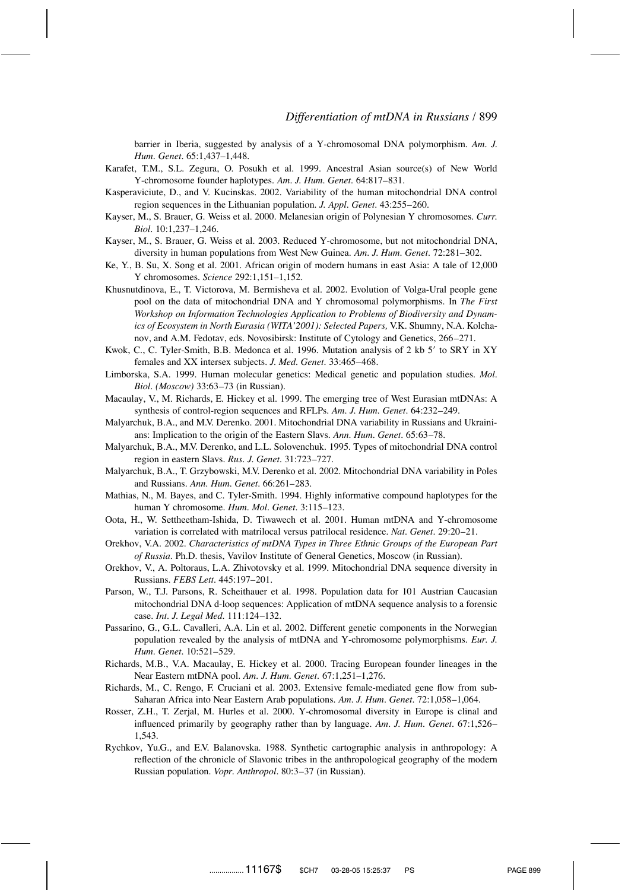barrier in Iberia, suggested by analysis of a Y-chromosomal DNA polymorphism. *Am. J. Hum. Genet.* 65:1,437–1,448.

- Karafet, T.M., S.L. Zegura, O. Posukh et al. 1999. Ancestral Asian source(s) of New World Y-chromosome founder haplotypes. *Am. J. Hum. Genet.* 64:817–831.
- Kasperaviciute, D., and V. Kucinskas. 2002. Variability of the human mitochondrial DNA control region sequences in the Lithuanian population. *J. Appl. Genet.* 43:255–260.
- Kayser, M., S. Brauer, G. Weiss et al. 2000. Melanesian origin of Polynesian Y chromosomes. *Curr. Biol.* 10:1,237–1,246.
- Kayser, M., S. Brauer, G. Weiss et al. 2003. Reduced Y-chromosome, but not mitochondrial DNA, diversity in human populations from West New Guinea. *Am. J. Hum. Genet.* 72:281–302.
- Ke, Y., B. Su, X. Song et al. 2001. African origin of modern humans in east Asia: A tale of 12,000 Y chromosomes. *Science* 292:1,151–1,152.
- Khusnutdinova, E., T. Victorova, M. Bermisheva et al. 2002. Evolution of Volga-Ural people gene pool on the data of mitochondrial DNA and Y chromosomal polymorphisms. In *The First Workshop on Information Technologies Application to Problems of Biodiversity and Dynamics of Ecosystem in North Eurasia (WITA'2001): Selected Papers,* V.K. Shumny, N.A. Kolchanov, and A.M. Fedotav, eds. Novosibirsk: Institute of Cytology and Genetics, 266–271.
- Kwok, C., C. Tyler-Smith, B.B. Medonca et al. 1996. Mutation analysis of 2 kb 5' to SRY in XY females and XX intersex subjects. *J. Med. Genet.* 33:465–468.
- Limborska, S.A. 1999. Human molecular genetics: Medical genetic and population studies. *Mol. Biol. (Moscow)* 33:63–73 (in Russian).
- Macaulay, V., M. Richards, E. Hickey et al. 1999. The emerging tree of West Eurasian mtDNAs: A synthesis of control-region sequences and RFLPs. *Am. J. Hum. Genet*. 64:232–249.
- Malyarchuk, B.A., and M.V. Derenko. 2001. Mitochondrial DNA variability in Russians and Ukrainians: Implication to the origin of the Eastern Slavs. *Ann. Hum. Genet.* 65:63–78.
- Malyarchuk, B.A., M.V. Derenko, and L.L. Solovenchuk. 1995. Types of mitochondrial DNA control region in eastern Slavs. *Rus. J. Genet.* 31:723–727.
- Malyarchuk, B.A., T. Grzybowski, M.V. Derenko et al. 2002. Mitochondrial DNA variability in Poles and Russians. *Ann. Hum. Genet.* 66:261–283.
- Mathias, N., M. Bayes, and C. Tyler-Smith. 1994. Highly informative compound haplotypes for the human Y chromosome. *Hum. Mol. Genet.* 3:115–123.
- Oota, H., W. Settheetham-Ishida, D. Tiwawech et al. 2001. Human mtDNA and Y-chromosome variation is correlated with matrilocal versus patrilocal residence. *Nat. Genet.* 29:20–21.
- Orekhov, V.A. 2002. *Characteristics of mtDNA Types in Three Ethnic Groups of the European Part of Russia.* Ph.D. thesis, Vavilov Institute of General Genetics, Moscow (in Russian).
- Orekhov, V., A. Poltoraus, L.A. Zhivotovsky et al. 1999. Mitochondrial DNA sequence diversity in Russians. *FEBS Lett.* 445:197–201.
- Parson, W., T.J. Parsons, R. Scheithauer et al. 1998. Population data for 101 Austrian Caucasian mitochondrial DNA d-loop sequences: Application of mtDNA sequence analysis to a forensic case. *Int. J. Legal Med.* 111:124–132.
- Passarino, G., G.L. Cavalleri, A.A. Lin et al. 2002. Different genetic components in the Norwegian population revealed by the analysis of mtDNA and Y-chromosome polymorphisms. *Eur. J. Hum. Genet.* 10:521–529.
- Richards, M.B., V.A. Macaulay, E. Hickey et al. 2000. Tracing European founder lineages in the Near Eastern mtDNA pool. *Am. J. Hum. Genet.* 67:1,251–1,276.
- Richards, M., C. Rengo, F. Cruciani et al. 2003. Extensive female-mediated gene flow from sub-Saharan Africa into Near Eastern Arab populations. *Am. J. Hum. Genet.* 72:1,058–1,064.
- Rosser, Z.H., T. Zerjal, M. Hurles et al. 2000. Y-chromosomal diversity in Europe is clinal and influenced primarily by geography rather than by language. *Am. J. Hum. Genet.* 67:1,526– 1,543.
- Rychkov, Yu.G., and E.V. Balanovska. 1988. Synthetic cartographic analysis in anthropology: A reflection of the chronicle of Slavonic tribes in the anthropological geography of the modern Russian population. *Vopr. Anthropol.* 80:3–37 (in Russian).